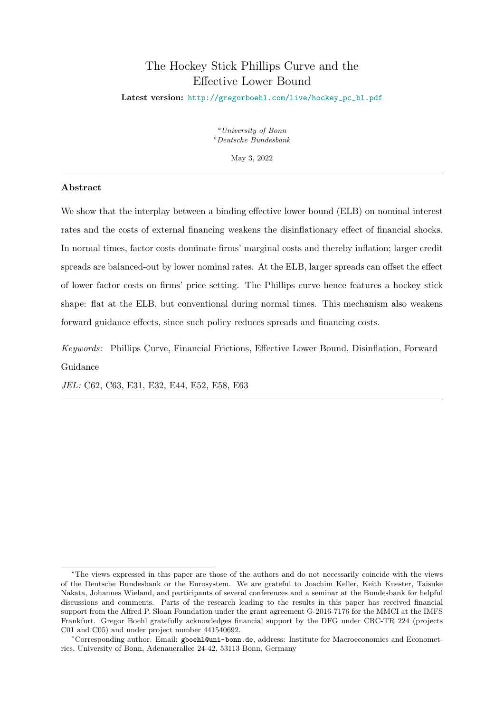# The Hockey Stick Phillips Curve and the Effective Lower Bound

<span id="page-0-0"></span>Latest version: [http://gregorboehl.com/live/hockey\\_pc\\_bl.pdf](http://gregorboehl.com/live/hockey_pc_bl.pdf)

 $^{a}$ University of Bonn  $<sup>b</sup>Deutsche Bundesbank$ </sup>

May 3, 2022

## Abstract

We show that the interplay between a binding effective lower bound (ELB) on nominal interest rates and the costs of external financing weakens the disinflationary effect of financial shocks. In normal times, factor costs dominate firms' marginal costs and thereby inflation; larger credit spreads are balanced-out by lower nominal rates. At the ELB, larger spreads can offset the effect of lower factor costs on firms' price setting. The Phillips curve hence features a hockey stick shape: flat at the ELB, but conventional during normal times. This mechanism also weakens forward guidance effects, since such policy reduces spreads and financing costs.

Keywords: Phillips Curve, Financial Frictions, Effective Lower Bound, Disinflation, Forward Guidance

JEL: C62, C63, E31, E32, E44, E52, E58, E63

<sup>⋆</sup>The views expressed in this paper are those of the authors and do not necessarily coincide with the views of the Deutsche Bundesbank or the Eurosystem. We are grateful to Joachim Keller, Keith Kuester, Taisuke Nakata, Johannes Wieland, and participants of several conferences and a seminar at the Bundesbank for helpful discussions and comments. Parts of the research leading to the results in this paper has received financial support from the Alfred P. Sloan Foundation under the grant agreement G-2016-7176 for the MMCI at the IMFS Frankfurt. Gregor Boehl gratefully acknowledges financial support by the DFG under CRC-TR 224 (projects C01 and C05) and under project number 441540692.

<sup>∗</sup>Corresponding author. Email: <gboehl@uni-bonn.de>, address: Institute for Macroeconomics and Econometrics, University of Bonn, Adenauerallee 24-42, 53113 Bonn, Germany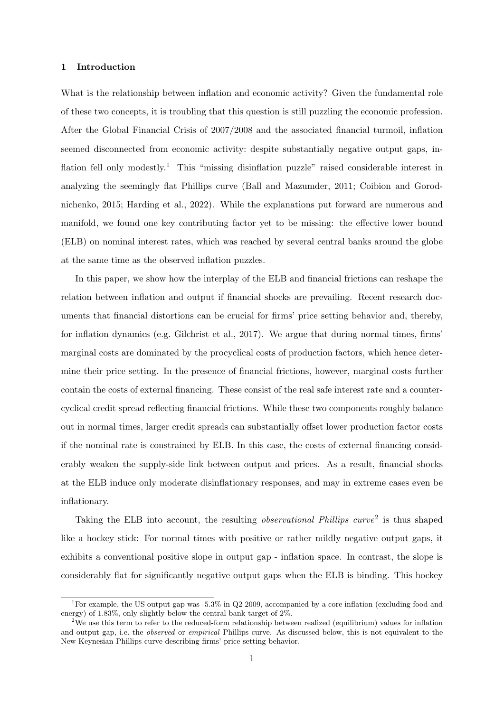## 1 Introduction

What is the relationship between inflation and economic activity? Given the fundamental role of these two concepts, it is troubling that this question is still puzzling the economic profession. After the Global Financial Crisis of 2007/2008 and the associated financial turmoil, inflation seemed disconnected from economic activity: despite substantially negative output gaps, in-flation fell only modestly.<sup>[1](#page-0-0)</sup> This "missing disinflation puzzle" raised considerable interest in analyzing the seemingly flat Phillips curve [\(Ball and Mazumder, 2011;](#page-25-0) [Coibion and Gorod](#page-25-1)[nichenko, 2015;](#page-25-1) [Harding et al., 2022\)](#page-26-0). While the explanations put forward are numerous and manifold, we found one key contributing factor yet to be missing: the effective lower bound (ELB) on nominal interest rates, which was reached by several central banks around the globe at the same time as the observed inflation puzzles.

In this paper, we show how the interplay of the ELB and financial frictions can reshape the relation between inflation and output if financial shocks are prevailing. Recent research documents that financial distortions can be crucial for firms' price setting behavior and, thereby, for inflation dynamics (e.g. [Gilchrist et al., 2017\)](#page-26-1). We argue that during normal times, firms' marginal costs are dominated by the procyclical costs of production factors, which hence determine their price setting. In the presence of financial frictions, however, marginal costs further contain the costs of external financing. These consist of the real safe interest rate and a countercyclical credit spread reflecting financial frictions. While these two components roughly balance out in normal times, larger credit spreads can substantially offset lower production factor costs if the nominal rate is constrained by ELB. In this case, the costs of external financing considerably weaken the supply-side link between output and prices. As a result, financial shocks at the ELB induce only moderate disinflationary responses, and may in extreme cases even be inflationary.

Taking the ELB into account, the resulting *observational Phillips curve*<sup>[2](#page-0-0)</sup> is thus shaped like a hockey stick: For normal times with positive or rather mildly negative output gaps, it exhibits a conventional positive slope in output gap - inflation space. In contrast, the slope is considerably flat for significantly negative output gaps when the ELB is binding. This hockey

<sup>&</sup>lt;sup>1</sup>For example, the US output gap was  $-5.3\%$  in Q2 2009, accompanied by a core inflation (excluding food and energy) of 1.83%, only slightly below the central bank target of 2%.

<sup>&</sup>lt;sup>2</sup>We use this term to refer to the reduced-form relationship between realized (equilibrium) values for inflation and output gap, i.e. the *observed* or *empirical* Phillips curve. As discussed below, this is not equivalent to the New Keynesian Phillips curve describing firms' price setting behavior.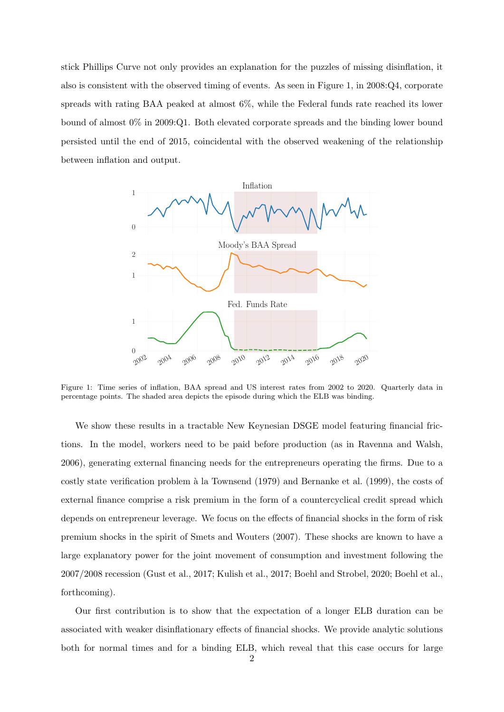stick Phillips Curve not only provides an explanation for the puzzles of missing disinflation, it also is consistent with the observed timing of events. As seen in Figure [1,](#page-2-0) in 2008:Q4, corporate spreads with rating BAA peaked at almost 6%, while the Federal funds rate reached its lower bound of almost 0% in 2009:Q1. Both elevated corporate spreads and the binding lower bound persisted until the end of 2015, coincidental with the observed weakening of the relationship between inflation and output.

<span id="page-2-0"></span>

Figure 1: Time series of inflation, BAA spread and US interest rates from 2002 to 2020. Quarterly data in percentage points. The shaded area depicts the episode during which the ELB was binding.

We show these results in a tractable New Keynesian DSGE model featuring financial frictions. In the model, workers need to be paid before production (as in [Ravenna and Walsh,](#page-26-2) [2006\)](#page-26-2), generating external financing needs for the entrepreneurs operating the firms. Due to a costly state verification problem à la [Townsend](#page-27-0) [\(1979\)](#page-27-0) and [Bernanke et al.](#page-25-2) [\(1999\)](#page-25-2), the costs of external finance comprise a risk premium in the form of a countercyclical credit spread which depends on entrepreneur leverage. We focus on the effects of financial shocks in the form of risk premium shocks in the spirit of [Smets and Wouters](#page-27-1) [\(2007\)](#page-27-1). These shocks are known to have a large explanatory power for the joint movement of consumption and investment following the 2007/2008 recession [\(Gust et al., 2017;](#page-26-3) [Kulish et al., 2017;](#page-26-4) [Boehl and Strobel, 2020;](#page-25-3) [Boehl et al.,](#page-25-4) [forthcoming\)](#page-25-4).

Our first contribution is to show that the expectation of a longer ELB duration can be associated with weaker disinflationary effects of financial shocks. We provide analytic solutions both for normal times and for a binding ELB, which reveal that this case occurs for large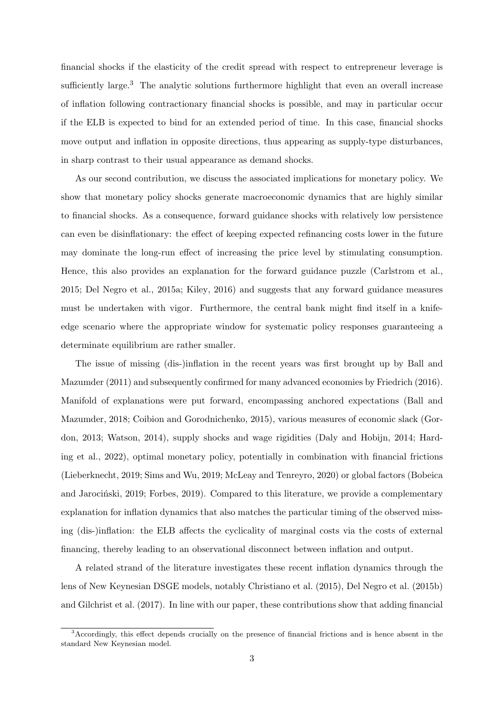financial shocks if the elasticity of the credit spread with respect to entrepreneur leverage is sufficiently large. $3$  The analytic solutions furthermore highlight that even an overall increase of inflation following contractionary financial shocks is possible, and may in particular occur if the ELB is expected to bind for an extended period of time. In this case, financial shocks move output and inflation in opposite directions, thus appearing as supply-type disturbances, in sharp contrast to their usual appearance as demand shocks.

As our second contribution, we discuss the associated implications for monetary policy. We show that monetary policy shocks generate macroeconomic dynamics that are highly similar to financial shocks. As a consequence, forward guidance shocks with relatively low persistence can even be disinflationary: the effect of keeping expected refinancing costs lower in the future may dominate the long-run effect of increasing the price level by stimulating consumption. Hence, this also provides an explanation for the forward guidance puzzle [\(Carlstrom et al.,](#page-25-5) [2015;](#page-25-5) [Del Negro et al., 2015a;](#page-26-5) [Kiley, 2016\)](#page-26-6) and suggests that any forward guidance measures must be undertaken with vigor. Furthermore, the central bank might find itself in a knifeedge scenario where the appropriate window for systematic policy responses guaranteeing a determinate equilibrium are rather smaller.

The issue of missing (dis-)inflation in the recent years was first brought up by [Ball and](#page-25-0) [Mazumder](#page-25-0) [\(2011\)](#page-25-0) and subsequently confirmed for many advanced economies by [Friedrich](#page-26-7) [\(2016\)](#page-26-7). Manifold of explanations were put forward, encompassing anchored expectations [\(Ball and](#page-25-6) [Mazumder, 2018;](#page-25-6) [Coibion and Gorodnichenko, 2015\)](#page-25-1), various measures of economic slack [\(Gor](#page-26-8)[don, 2013;](#page-26-8) [Watson, 2014\)](#page-27-2), supply shocks and wage rigidities [\(Daly and Hobijn, 2014;](#page-26-9) [Hard](#page-26-0)[ing et al., 2022\)](#page-26-0), optimal monetary policy, potentially in combination with financial frictions [\(Lieberknecht, 2019;](#page-26-10) [Sims and Wu, 2019;](#page-27-3) [McLeay and Tenreyro, 2020\)](#page-26-11) or global factors [\(Bobeica](#page-25-7) and Jarociński, 2019; [Forbes, 2019\)](#page-26-12). Compared to this literature, we provide a complementary explanation for inflation dynamics that also matches the particular timing of the observed missing (dis-)inflation: the ELB affects the cyclicality of marginal costs via the costs of external financing, thereby leading to an observational disconnect between inflation and output.

A related strand of the literature investigates these recent inflation dynamics through the lens of New Keynesian DSGE models, notably [Christiano et al.](#page-25-8) [\(2015\)](#page-25-8), [Del Negro et al.](#page-26-13) [\(2015b\)](#page-26-13) and [Gilchrist et al.](#page-26-1) [\(2017\)](#page-26-1). In line with our paper, these contributions show that adding financial

<sup>3</sup>Accordingly, this effect depends crucially on the presence of financial frictions and is hence absent in the standard New Keynesian model.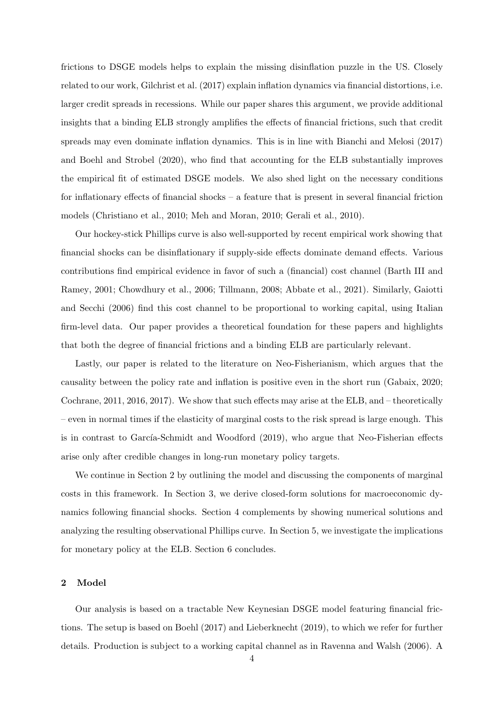frictions to DSGE models helps to explain the missing disinflation puzzle in the US. Closely related to our work, [Gilchrist et al.](#page-26-1) [\(2017\)](#page-26-1) explain inflation dynamics via financial distortions, i.e. larger credit spreads in recessions. While our paper shares this argument, we provide additional insights that a binding ELB strongly amplifies the effects of financial frictions, such that credit spreads may even dominate inflation dynamics. This is in line with [Bianchi and Melosi](#page-25-9) [\(2017\)](#page-25-9) and [Boehl and Strobel](#page-25-3) [\(2020\)](#page-25-3), who find that accounting for the ELB substantially improves the empirical fit of estimated DSGE models. We also shed light on the necessary conditions for inflationary effects of financial shocks – a feature that is present in several financial friction models [\(Christiano et al., 2010;](#page-25-10) [Meh and Moran, 2010;](#page-26-14) [Gerali et al., 2010\)](#page-26-15).

Our hockey-stick Phillips curve is also well-supported by recent empirical work showing that financial shocks can be disinflationary if supply-side effects dominate demand effects. Various contributions find empirical evidence in favor of such a (financial) cost channel [\(Barth III and](#page-25-11) [Ramey, 2001;](#page-25-11) [Chowdhury et al., 2006;](#page-25-12) [Tillmann, 2008;](#page-27-4) [Abbate et al., 2021\)](#page-25-13). Similarly, [Gaiotti](#page-26-16) [and Secchi](#page-26-16) [\(2006\)](#page-26-16) find this cost channel to be proportional to working capital, using Italian firm-level data. Our paper provides a theoretical foundation for these papers and highlights that both the degree of financial frictions and a binding ELB are particularly relevant.

Lastly, our paper is related to the literature on Neo-Fisherianism, which argues that the causality between the policy rate and inflation is positive even in the short run [\(Gabaix, 2020;](#page-26-17) [Cochrane, 2011,](#page-25-14) [2016,](#page-25-15) [2017\)](#page-25-16). We show that such effects may arise at the ELB, and – theoretically – even in normal times if the elasticity of marginal costs to the risk spread is large enough. This is in contrast to García-Schmidt and Woodford  $(2019)$ , who argue that Neo-Fisherian effects arise only after credible changes in long-run monetary policy targets.

We continue in Section [2](#page-4-0) by outlining the model and discussing the components of marginal costs in this framework. In Section [3,](#page-9-0) we derive closed-form solutions for macroeconomic dynamics following financial shocks. Section [4](#page-15-0) complements by showing numerical solutions and analyzing the resulting observational Phillips curve. In Section [5,](#page-19-0) we investigate the implications for monetary policy at the ELB. Section [6](#page-24-0) concludes.

### <span id="page-4-0"></span>2 Model

Our analysis is based on a tractable New Keynesian DSGE model featuring financial frictions. The setup is based on [Boehl](#page-25-17) [\(2017\)](#page-25-17) and [Lieberknecht](#page-26-10) [\(2019\)](#page-26-10), to which we refer for further details. Production is subject to a working capital channel as in [Ravenna and Walsh](#page-26-2) [\(2006\)](#page-26-2). A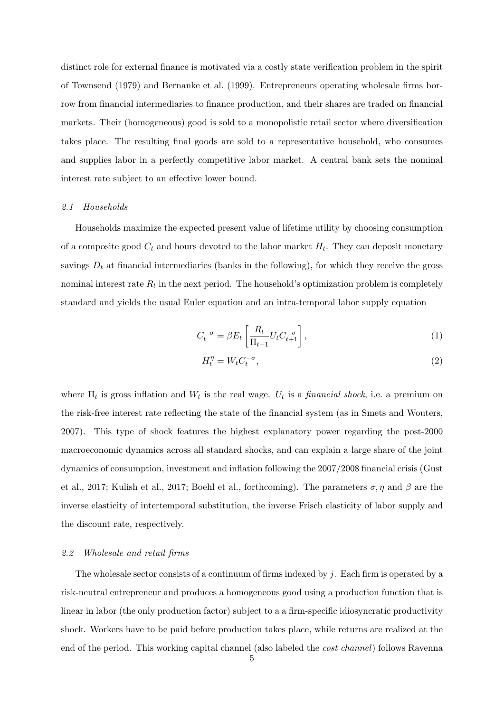distinct role for external finance is motivated via a costly state verification problem in the spirit of [Townsend](#page-27-0) [\(1979\)](#page-27-0) and [Bernanke et al.](#page-25-2) [\(1999\)](#page-25-2). Entrepreneurs operating wholesale firms borrow from financial intermediaries to finance production, and their shares are traded on financial markets. Their (homogeneous) good is sold to a monopolistic retail sector where diversification takes place. The resulting final goods are sold to a representative household, who consumes and supplies labor in a perfectly competitive labor market. A central bank sets the nominal interest rate subject to an effective lower bound.

## 2.1 Households

Households maximize the expected present value of lifetime utility by choosing consumption of a composite good  $C_t$  and hours devoted to the labor market  $H_t$ . They can deposit monetary savings  $D_t$  at financial intermediaries (banks in the following), for which they receive the gross nominal interest rate  $R_t$  in the next period. The household's optimization problem is completely standard and yields the usual Euler equation and an intra-temporal labor supply equation

$$
C_t^{-\sigma} = \beta E_t \left[ \frac{R_t}{\Pi_{t+1}} U_t C_{t+1}^{-\sigma} \right],\tag{1}
$$

<span id="page-5-1"></span><span id="page-5-0"></span>
$$
H_t^{\eta} = W_t C_t^{-\sigma},\tag{2}
$$

where  $\Pi_t$  is gross inflation and  $W_t$  is the real wage.  $U_t$  is a *financial shock*, i.e. a premium on the risk-free interest rate reflecting the state of the financial system (as in [Smets and Wouters,](#page-27-1) [2007\)](#page-27-1). This type of shock features the highest explanatory power regarding the post-2000 macroeconomic dynamics across all standard shocks, and can explain a large share of the joint dynamics of consumption, investment and inflation following the 2007/2008 financial crisis [\(Gust](#page-26-3) [et al., 2017;](#page-26-3) [Kulish et al., 2017;](#page-26-4) [Boehl et al., forthcoming\)](#page-25-4). The parameters  $\sigma, \eta$  and  $\beta$  are the inverse elasticity of intertemporal substitution, the inverse Frisch elasticity of labor supply and the discount rate, respectively.

#### 2.2 Wholesale and retail firms

The wholesale sector consists of a continuum of firms indexed by j. Each firm is operated by a risk-neutral entrepreneur and produces a homogeneous good using a production function that is linear in labor (the only production factor) subject to a a firm-specific idiosyncratic productivity shock. Workers have to be paid before production takes place, while returns are realized at the end of the period. This working capital channel (also labeled the cost channel) follows [Ravenna](#page-26-2)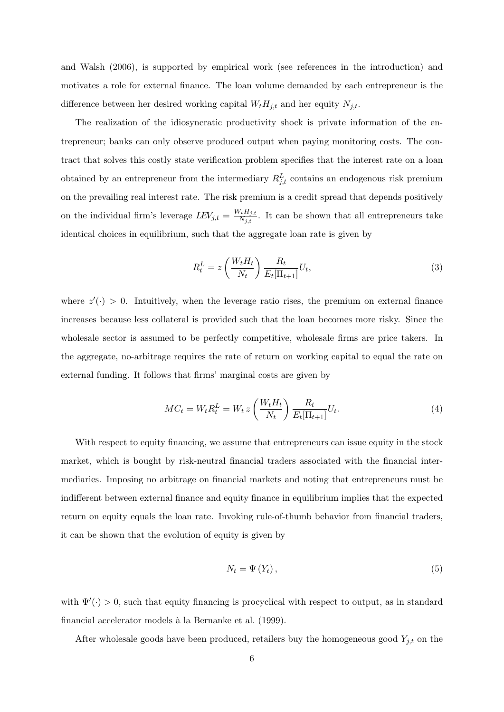[and Walsh](#page-26-2) [\(2006\)](#page-26-2), is supported by empirical work (see references in the introduction) and motivates a role for external finance. The loan volume demanded by each entrepreneur is the difference between her desired working capital  $W_t H_{j,t}$  and her equity  $N_{j,t}$ .

The realization of the idiosyncratic productivity shock is private information of the entrepreneur; banks can only observe produced output when paying monitoring costs. The contract that solves this costly state verification problem specifies that the interest rate on a loan obtained by an entrepreneur from the intermediary  $R_{j,t}^L$  contains an endogenous risk premium on the prevailing real interest rate. The risk premium is a credit spread that depends positively on the individual firm's leverage  $LEV_{j,t} = \frac{W_t H_{j,t}}{N_{i,t}}$  $\frac{M_{i}H_{j,t}}{N_{j,t}}$ . It can be shown that all entrepreneurs take identical choices in equilibrium, such that the aggregate loan rate is given by

<span id="page-6-1"></span>
$$
R_t^L = z \left(\frac{W_t H_t}{N_t}\right) \frac{R_t}{E_t[\Pi_{t+1}]} U_t,
$$
\n(3)

where  $z'(\cdot) > 0$ . Intuitively, when the leverage ratio rises, the premium on external finance increases because less collateral is provided such that the loan becomes more risky. Since the wholesale sector is assumed to be perfectly competitive, wholesale firms are price takers. In the aggregate, no-arbitrage requires the rate of return on working capital to equal the rate on external funding. It follows that firms' marginal costs are given by

<span id="page-6-0"></span>
$$
MC_t = W_t R_t^L = W_t z \left(\frac{W_t H_t}{N_t}\right) \frac{R_t}{E_t[\Pi_{t+1}]} U_t.
$$
\n
$$
(4)
$$

With respect to equity financing, we assume that entrepreneurs can issue equity in the stock market, which is bought by risk-neutral financial traders associated with the financial intermediaries. Imposing no arbitrage on financial markets and noting that entrepreneurs must be indifferent between external finance and equity finance in equilibrium implies that the expected return on equity equals the loan rate. Invoking rule-of-thumb behavior from financial traders, it can be shown that the evolution of equity is given by

<span id="page-6-2"></span>
$$
N_t = \Psi(Y_t), \tag{5}
$$

with  $\Psi'(\cdot) > 0$ , such that equity financing is procyclical with respect to output, as in standard financial accelerator models à la [Bernanke et al.](#page-25-2) [\(1999\)](#page-25-2).

After wholesale goods have been produced, retailers buy the homogeneous good  $Y_{j,t}$  on the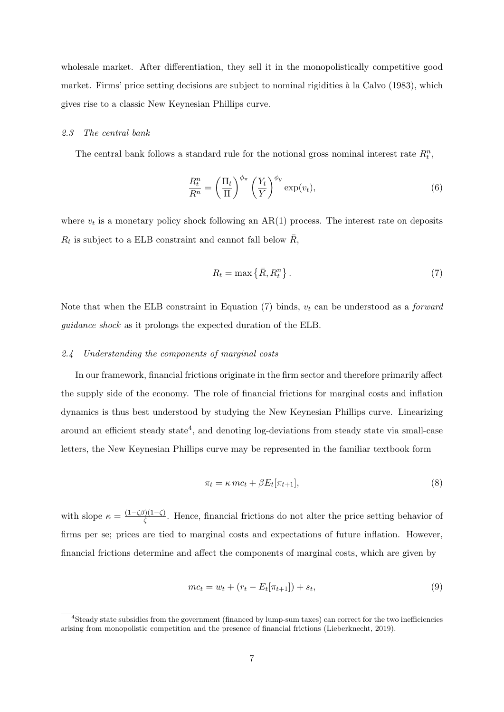wholesale market. After differentiation, they sell it in the monopolistically competitive good market. Firms' price setting decisions are subject to nominal rigidities à la [Calvo](#page-25-18) [\(1983\)](#page-25-18), which gives rise to a classic New Keynesian Phillips curve.

#### 2.3 The central bank

The central bank follows a standard rule for the notional gross nominal interest rate  $R_t^n$ ,

<span id="page-7-2"></span>
$$
\frac{R_t^n}{R^n} = \left(\frac{\Pi_t}{\Pi}\right)^{\phi_\pi} \left(\frac{Y_t}{Y}\right)^{\phi_y} \exp(v_t),\tag{6}
$$

where  $v_t$  is a monetary policy shock following an  $AR(1)$  process. The interest rate on deposits  $R_t$  is subject to a ELB constraint and cannot fall below  $\bar{R}$ ,

<span id="page-7-0"></span>
$$
R_t = \max\left\{\bar{R}, R_t^n\right\}.
$$
\n<sup>(7)</sup>

Note that when the ELB constraint in Equation  $(7)$  binds,  $v_t$  can be understood as a *forward* guidance shock as it prolongs the expected duration of the ELB.

## 2.4 Understanding the components of marginal costs

In our framework, financial frictions originate in the firm sector and therefore primarily affect the supply side of the economy. The role of financial frictions for marginal costs and inflation dynamics is thus best understood by studying the New Keynesian Phillips curve. Linearizing around an efficient steady state<sup>[4](#page-0-0)</sup>, and denoting log-deviations from steady state via small-case letters, the New Keynesian Phillips curve may be represented in the familiar textbook form

<span id="page-7-1"></span>
$$
\pi_t = \kappa \, mc_t + \beta E_t[\pi_{t+1}],\tag{8}
$$

with slope  $\kappa = \frac{(1-\zeta\beta)(1-\zeta)}{\zeta}$  $\frac{\partial f(1-\zeta)}{\partial \zeta}$ . Hence, financial frictions do not alter the price setting behavior of firms per se; prices are tied to marginal costs and expectations of future inflation. However, financial frictions determine and affect the components of marginal costs, which are given by

$$
mc_t = w_t + (r_t - E_t[\pi_{t+1}]) + s_t,
$$
\n(9)

<sup>4</sup>Steady state subsidies from the government (financed by lump-sum taxes) can correct for the two inefficiencies arising from monopolistic competition and the presence of financial frictions [\(Lieberknecht, 2019\)](#page-26-10).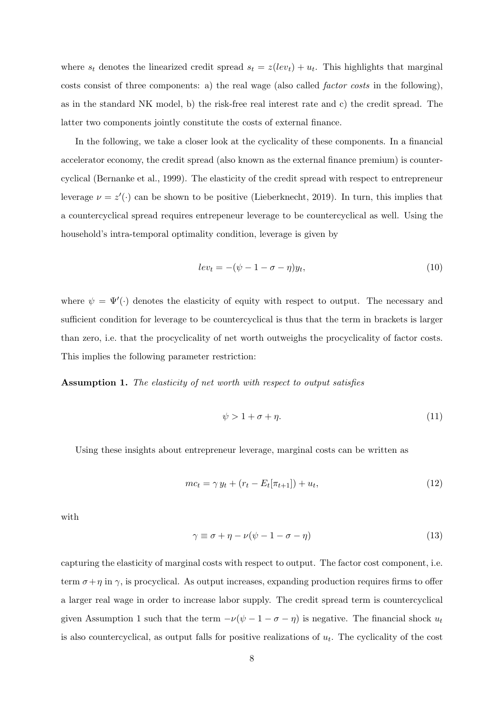where  $s_t$  denotes the linearized credit spread  $s_t = z(lev_t) + u_t$ . This highlights that marginal costs consist of three components: a) the real wage (also called factor costs in the following), as in the standard NK model, b) the risk-free real interest rate and c) the credit spread. The latter two components jointly constitute the costs of external finance.

In the following, we take a closer look at the cyclicality of these components. In a financial accelerator economy, the credit spread (also known as the external finance premium) is countercyclical [\(Bernanke et al., 1999\)](#page-25-2). The elasticity of the credit spread with respect to entrepreneur leverage  $\nu = z'(\cdot)$  can be shown to be positive [\(Lieberknecht, 2019\)](#page-26-10). In turn, this implies that a countercyclical spread requires entrepeneur leverage to be countercyclical as well. Using the household's intra-temporal optimality condition, leverage is given by

$$
lev_t = -(\psi - 1 - \sigma - \eta)y_t,
$$
\n(10)

where  $\psi = \Psi'(\cdot)$  denotes the elasticity of equity with respect to output. The necessary and sufficient condition for leverage to be countercyclical is thus that the term in brackets is larger than zero, i.e. that the procyclicality of net worth outweighs the procyclicality of factor costs. This implies the following parameter restriction:

<span id="page-8-0"></span>Assumption 1. The elasticity of net worth with respect to output satisfies

$$
\psi > 1 + \sigma + \eta. \tag{11}
$$

Using these insights about entrepreneur leverage, marginal costs can be written as

$$
mc_t = \gamma y_t + (r_t - E_t[\pi_{t+1}]) + u_t,
$$
\n(12)

with

$$
\gamma \equiv \sigma + \eta - \nu(\psi - 1 - \sigma - \eta) \tag{13}
$$

capturing the elasticity of marginal costs with respect to output. The factor cost component, i.e. term  $\sigma + \eta$  in  $\gamma$ , is procyclical. As output increases, expanding production requires firms to offer a larger real wage in order to increase labor supply. The credit spread term is countercyclical given Assumption [1](#page-8-0) such that the term  $-\nu(\psi - 1 - \sigma - \eta)$  is negative. The financial shock  $u_t$ is also countercyclical, as output falls for positive realizations of  $u_t$ . The cyclicality of the cost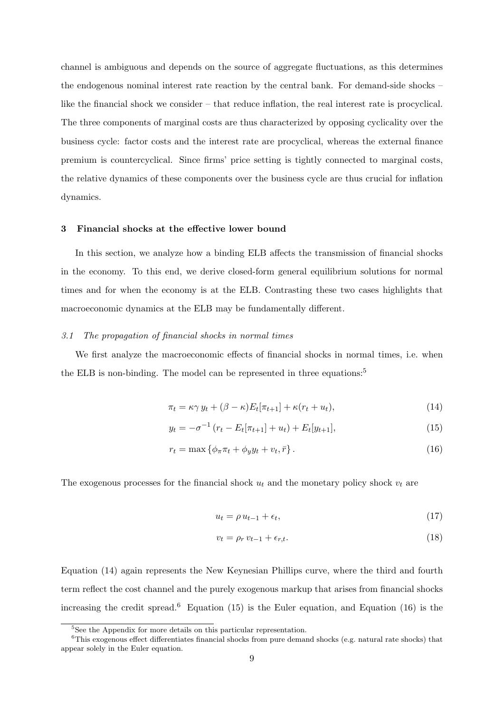channel is ambiguous and depends on the source of aggregate fluctuations, as this determines the endogenous nominal interest rate reaction by the central bank. For demand-side shocks – like the financial shock we consider – that reduce inflation, the real interest rate is procyclical. The three components of marginal costs are thus characterized by opposing cyclicality over the business cycle: factor costs and the interest rate are procyclical, whereas the external finance premium is countercyclical. Since firms' price setting is tightly connected to marginal costs, the relative dynamics of these components over the business cycle are thus crucial for inflation dynamics.

## <span id="page-9-0"></span>3 Financial shocks at the effective lower bound

In this section, we analyze how a binding ELB affects the transmission of financial shocks in the economy. To this end, we derive closed-form general equilibrium solutions for normal times and for when the economy is at the ELB. Contrasting these two cases highlights that macroeconomic dynamics at the ELB may be fundamentally different.

#### <span id="page-9-5"></span>3.1 The propagation of financial shocks in normal times

We first analyze the macroeconomic effects of financial shocks in normal times, i.e. when the ELB is non-binding. The model can be represented in three equations:<sup>[5](#page-0-0)</sup>

$$
\pi_t = \kappa \gamma y_t + (\beta - \kappa) E_t[\pi_{t+1}] + \kappa (r_t + u_t), \tag{14}
$$

$$
y_t = -\sigma^{-1} (r_t - E_t[\pi_{t+1}] + u_t) + E_t[y_{t+1}], \qquad (15)
$$

$$
r_t = \max \left\{ \phi_\pi \pi_t + \phi_y y_t + v_t, \bar{r} \right\}.
$$
\n<sup>(16)</sup>

The exogenous processes for the financial shock  $u_t$  and the monetary policy shock  $v_t$  are

<span id="page-9-4"></span><span id="page-9-3"></span><span id="page-9-2"></span><span id="page-9-1"></span>
$$
u_t = \rho u_{t-1} + \epsilon_t, \tag{17}
$$

$$
v_t = \rho_r v_{t-1} + \epsilon_{r,t}.\tag{18}
$$

Equation [\(14\)](#page-9-1) again represents the New Keynesian Phillips curve, where the third and fourth term reflect the cost channel and the purely exogenous markup that arises from financial shocks increasing the credit spread.<sup>[6](#page-0-0)</sup> Equation [\(15\)](#page-9-2) is the Euler equation, and Equation [\(16\)](#page-9-3) is the

<sup>&</sup>lt;sup>5</sup>See the Appendix for more details on this particular representation.

<sup>&</sup>lt;sup>6</sup>This exogenous effect differentiates financial shocks from pure demand shocks (e.g. natural rate shocks) that appear solely in the Euler equation.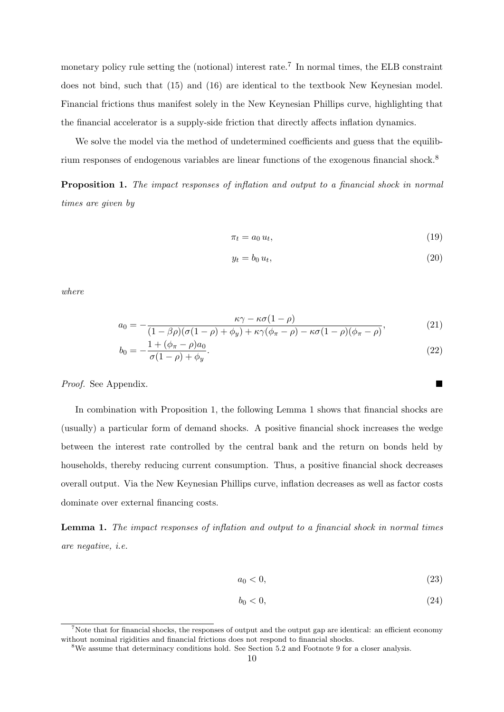monetary policy rule setting the (notional) interest rate.<sup>[7](#page-0-0)</sup> In normal times, the ELB constraint does not bind, such that [\(15\)](#page-9-2) and [\(16\)](#page-9-3) are identical to the textbook New Keynesian model. Financial frictions thus manifest solely in the New Keynesian Phillips curve, highlighting that the financial accelerator is a supply-side friction that directly affects inflation dynamics.

We solve the model via the method of undetermined coefficients and guess that the equilibrium responses of endogenous variables are linear functions of the exogenous financial shock.[8](#page-0-0)

<span id="page-10-0"></span>Proposition 1. The impact responses of inflation and output to a financial shock in normal times are given by

$$
\pi_t = a_0 u_t,\tag{19}
$$

$$
y_t = b_0 u_t,\tag{20}
$$

where

$$
a_0 = -\frac{\kappa \gamma - \kappa \sigma (1 - \rho)}{(1 - \beta \rho)(\sigma (1 - \rho) + \phi_y) + \kappa \gamma (\phi_\pi - \rho) - \kappa \sigma (1 - \rho)(\phi_\pi - \rho)},\tag{21}
$$

$$
b_0 = -\frac{1 + (\phi_\pi - \rho)a_0}{\sigma(1 - \rho) + \phi_y}.
$$
\n(22)

Proof. See Appendix.

In combination with Proposition [1,](#page-10-0) the following Lemma [1](#page-10-1) shows that financial shocks are (usually) a particular form of demand shocks. A positive financial shock increases the wedge between the interest rate controlled by the central bank and the return on bonds held by households, thereby reducing current consumption. Thus, a positive financial shock decreases overall output. Via the New Keynesian Phillips curve, inflation decreases as well as factor costs dominate over external financing costs.

<span id="page-10-1"></span>Lemma 1. The impact responses of inflation and output to a financial shock in normal times are negative, i.e.

$$
a_0 < 0,\tag{23}
$$

$$
b_0 < 0,\tag{24}
$$

<sup>&</sup>lt;sup>7</sup>Note that for financial shocks, the responses of output and the output gap are identical: an efficient economy without nominal rigidities and financial frictions does not respond to financial shocks.

<sup>&</sup>lt;sup>8</sup>We assume that determinacy conditions hold. See Section [5.2](#page-22-0) and Footnote [9](#page-11-0) for a closer analysis.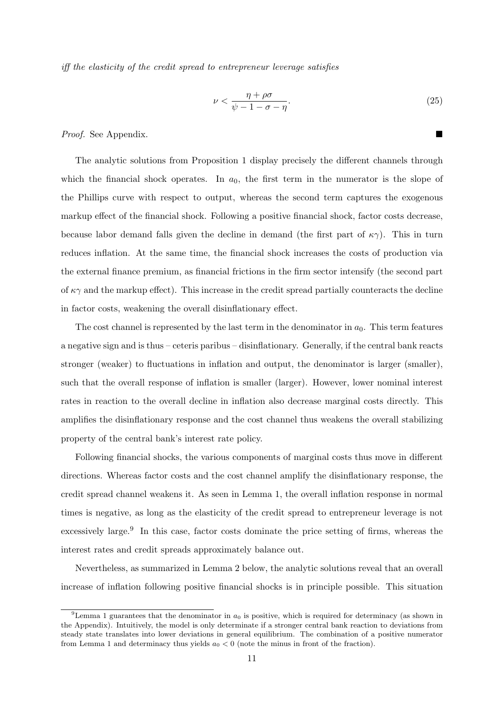iff the elasticity of the credit spread to entrepreneur leverage satisfies

<span id="page-11-0"></span>
$$
\nu < \frac{\eta + \rho \sigma}{\psi - 1 - \sigma - \eta}.\tag{25}
$$

Proof. See Appendix.

The analytic solutions from Proposition [1](#page-10-0) display precisely the different channels through which the financial shock operates. In  $a_0$ , the first term in the numerator is the slope of the Phillips curve with respect to output, whereas the second term captures the exogenous markup effect of the financial shock. Following a positive financial shock, factor costs decrease, because labor demand falls given the decline in demand (the first part of  $\kappa \gamma$ ). This in turn reduces inflation. At the same time, the financial shock increases the costs of production via the external finance premium, as financial frictions in the firm sector intensify (the second part of  $\kappa\gamma$  and the markup effect). This increase in the credit spread partially counteracts the decline in factor costs, weakening the overall disinflationary effect.

The cost channel is represented by the last term in the denominator in  $a_0$ . This term features a negative sign and is thus – ceteris paribus – disinflationary. Generally, if the central bank reacts stronger (weaker) to fluctuations in inflation and output, the denominator is larger (smaller), such that the overall response of inflation is smaller (larger). However, lower nominal interest rates in reaction to the overall decline in inflation also decrease marginal costs directly. This amplifies the disinflationary response and the cost channel thus weakens the overall stabilizing property of the central bank's interest rate policy.

Following financial shocks, the various components of marginal costs thus move in different directions. Whereas factor costs and the cost channel amplify the disinflationary response, the credit spread channel weakens it. As seen in Lemma [1,](#page-10-1) the overall inflation response in normal times is negative, as long as the elasticity of the credit spread to entrepreneur leverage is not excessively large.<sup>[9](#page-0-0)</sup> In this case, factor costs dominate the price setting of firms, whereas the interest rates and credit spreads approximately balance out.

Nevertheless, as summarized in Lemma [2](#page-12-0) below, the analytic solutions reveal that an overall increase of inflation following positive financial shocks is in principle possible. This situation

<sup>&</sup>lt;sup>9</sup>Lemma [1](#page-10-1) guarantees that the denominator in  $a_0$  is positive, which is required for determinacy (as shown in the Appendix). Intuitively, the model is only determinate if a stronger central bank reaction to deviations from steady state translates into lower deviations in general equilibrium. The combination of a positive numerator from Lemma [1](#page-10-1) and determinacy thus yields  $a_0 < 0$  (note the minus in front of the fraction).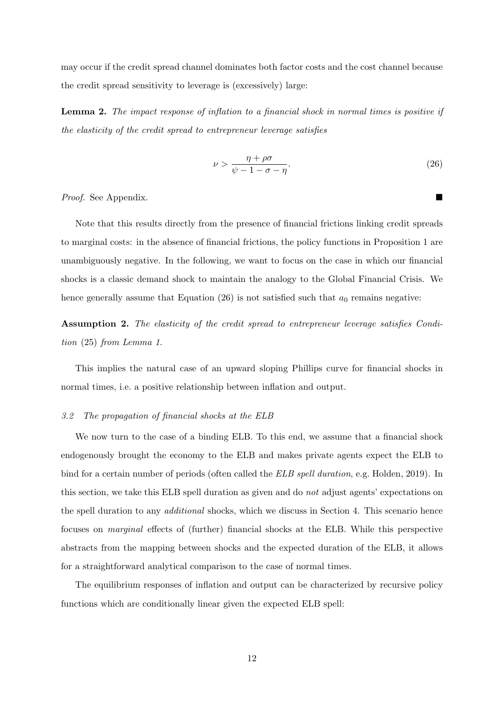may occur if the credit spread channel dominates both factor costs and the cost channel because the credit spread sensitivity to leverage is (excessively) large:

<span id="page-12-0"></span>Lemma 2. The impact response of inflation to a financial shock in normal times is positive if the elasticity of the credit spread to entrepreneur leverage satisfies

$$
\nu > \frac{\eta + \rho \sigma}{\psi - 1 - \sigma - \eta}.\tag{26}
$$

Proof. See Appendix.

Note that this results directly from the presence of financial frictions linking credit spreads to marginal costs: in the absence of financial frictions, the policy functions in Proposition [1](#page-10-0) are unambiguously negative. In the following, we want to focus on the case in which our financial shocks is a classic demand shock to maintain the analogy to the Global Financial Crisis. We hence generally assume that Equation [\(26\)](#page-12-1) is not satisfied such that  $a_0$  remains negative:

<span id="page-12-2"></span>Assumption 2. The elasticity of the credit spread to entrepreneur leverage satisfies Condition [\(25\)](#page-11-0) from Lemma [1.](#page-10-1)

This implies the natural case of an upward sloping Phillips curve for financial shocks in normal times, i.e. a positive relationship between inflation and output.

## 3.2 The propagation of financial shocks at the ELB

We now turn to the case of a binding ELB. To this end, we assume that a financial shock endogenously brought the economy to the ELB and makes private agents expect the ELB to bind for a certain number of periods (often called the *ELB spell duration*, e.g. [Holden, 2019\)](#page-26-19). In this section, we take this ELB spell duration as given and do not adjust agents' expectations on the spell duration to any additional shocks, which we discuss in Section [4.](#page-15-0) This scenario hence focuses on marginal effects of (further) financial shocks at the ELB. While this perspective abstracts from the mapping between shocks and the expected duration of the ELB, it allows for a straightforward analytical comparison to the case of normal times.

The equilibrium responses of inflation and output can be characterized by recursive policy functions which are conditionally linear given the expected ELB spell:

<span id="page-12-1"></span>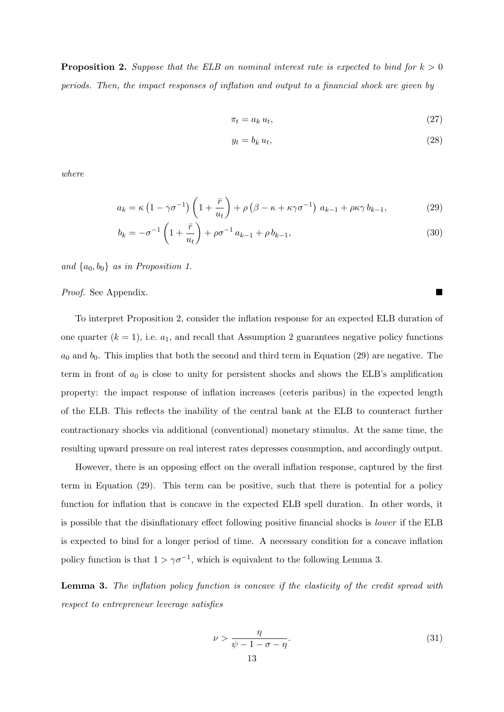<span id="page-13-0"></span>**Proposition 2.** Suppose that the ELB on nominal interest rate is expected to bind for  $k > 0$ periods. Then, the impact responses of inflation and output to a financial shock are given by

$$
\pi_t = a_k u_t,\tag{27}
$$

<span id="page-13-1"></span>
$$
y_t = b_k u_t,\tag{28}
$$

where

$$
a_k = \kappa \left(1 - \gamma \sigma^{-1}\right) \left(1 + \frac{\bar{r}}{u_t}\right) + \rho \left(\beta - \kappa + \kappa \gamma \sigma^{-1}\right) a_{k-1} + \rho \kappa \gamma b_{k-1},\tag{29}
$$

$$
b_k = -\sigma^{-1} \left( 1 + \frac{\bar{r}}{u_t} \right) + \rho \sigma^{-1} a_{k-1} + \rho b_{k-1}, \tag{30}
$$

and  $\{a_0, b_0\}$  as in Proposition [1.](#page-10-0)

## Proof. See Appendix.

To interpret Proposition [2,](#page-13-0) consider the inflation response for an expected ELB duration of one quarter  $(k = 1)$ , i.e.  $a_1$ , and recall that Assumption [2](#page-12-2) guarantees negative policy functions  $a_0$  and  $b_0$ . This implies that both the second and third term in Equation [\(29\)](#page-13-1) are negative. The term in front of  $a_0$  is close to unity for persistent shocks and shows the ELB's amplification property: the impact response of inflation increases (ceteris paribus) in the expected length of the ELB. This reflects the inability of the central bank at the ELB to counteract further contractionary shocks via additional (conventional) monetary stimulus. At the same time, the resulting upward pressure on real interest rates depresses consumption, and accordingly output.

However, there is an opposing effect on the overall inflation response, captured by the first term in Equation [\(29\)](#page-13-1). This term can be positive, such that there is potential for a policy function for inflation that is concave in the expected ELB spell duration. In other words, it is possible that the disinflationary effect following positive financial shocks is lower if the ELB is expected to bind for a longer period of time. A necessary condition for a concave inflation policy function is that  $1 > \gamma \sigma^{-1}$ , which is equivalent to the following Lemma [3.](#page-13-2)

<span id="page-13-2"></span>**Lemma 3.** The inflation policy function is concave if the elasticity of the credit spread with respect to entrepreneur leverage satisfies

<span id="page-13-3"></span>
$$
\nu > \frac{\eta}{\psi - 1 - \sigma - \eta}.\tag{31}
$$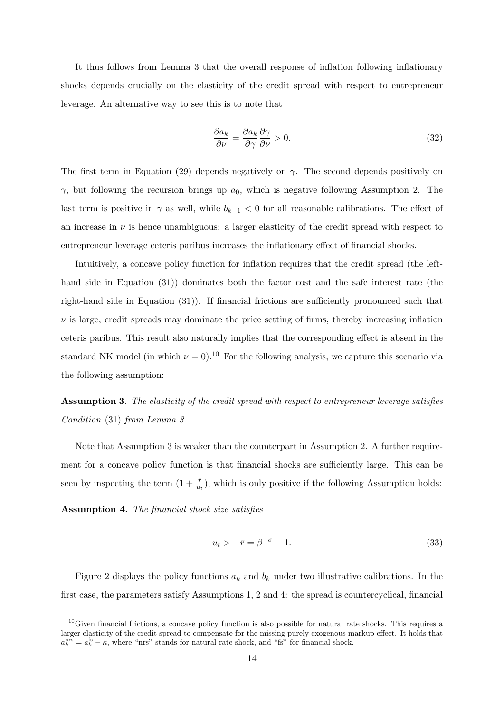It thus follows from Lemma [3](#page-13-2) that the overall response of inflation following inflationary shocks depends crucially on the elasticity of the credit spread with respect to entrepreneur leverage. An alternative way to see this is to note that

$$
\frac{\partial a_k}{\partial \nu} = \frac{\partial a_k}{\partial \gamma} \frac{\partial \gamma}{\partial \nu} > 0.
$$
\n(32)

The first term in Equation [\(29\)](#page-13-1) depends negatively on  $\gamma$ . The second depends positively on  $γ$ , but following the recursion brings up  $a<sub>0</sub>$ , which is negative following Assumption [2.](#page-12-2) The last term is positive in  $\gamma$  as well, while  $b_{k-1} < 0$  for all reasonable calibrations. The effect of an increase in  $\nu$  is hence unambiguous: a larger elasticity of the credit spread with respect to entrepreneur leverage ceteris paribus increases the inflationary effect of financial shocks.

Intuitively, a concave policy function for inflation requires that the credit spread (the lefthand side in Equation [\(31\)](#page-13-3)) dominates both the factor cost and the safe interest rate (the right-hand side in Equation [\(31\)](#page-13-3)). If financial frictions are sufficiently pronounced such that  $\nu$  is large, credit spreads may dominate the price setting of firms, thereby increasing inflation ceteris paribus. This result also naturally implies that the corresponding effect is absent in the standard NK model (in which  $\nu = 0$ ).<sup>[10](#page-0-0)</sup> For the following analysis, we capture this scenario via the following assumption:

<span id="page-14-0"></span>Assumption 3. The elasticity of the credit spread with respect to entrepreneur leverage satisfies Condition [\(31\)](#page-13-3) from Lemma [3.](#page-13-2)

Note that Assumption [3](#page-14-0) is weaker than the counterpart in Assumption [2.](#page-12-2) A further requirement for a concave policy function is that financial shocks are sufficiently large. This can be seen by inspecting the term  $(1 + \frac{\bar{r}}{u_t})$ , which is only positive if the following Assumption holds:

<span id="page-14-1"></span>Assumption 4. The financial shock size satisfies

$$
u_t > -\bar{r} = \beta^{-\sigma} - 1. \tag{33}
$$

Figure [2](#page-15-1) displays the policy functions  $a_k$  and  $b_k$  under two illustrative calibrations. In the first case, the parameters satisfy Assumptions [1,](#page-8-0) [2](#page-12-2) and [4:](#page-14-1) the spread is countercyclical, financial

 $10$ Given financial frictions, a concave policy function is also possible for natural rate shocks. This requires a larger elasticity of the credit spread to compensate for the missing purely exogenous markup effect. It holds that  $a_k^{\text{ns}} = a_k^{\text{fs}} - \kappa$ , where "nrs" stands for natural rate shock, and "fs" for financial shock.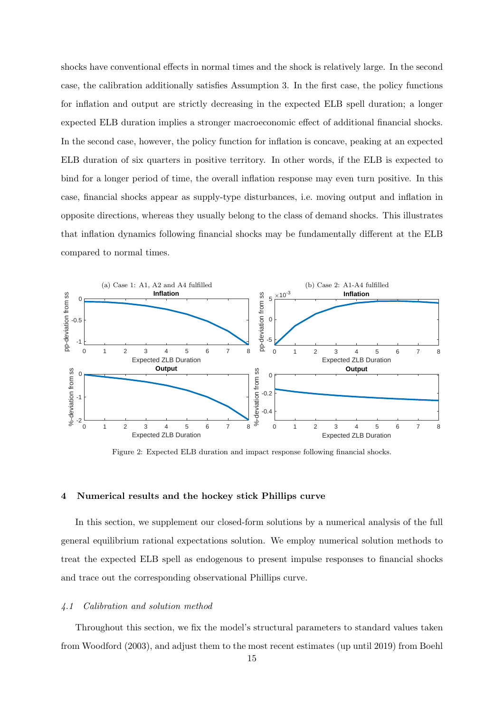shocks have conventional effects in normal times and the shock is relatively large. In the second case, the calibration additionally satisfies Assumption [3.](#page-14-0) In the first case, the policy functions for inflation and output are strictly decreasing in the expected ELB spell duration; a longer expected ELB duration implies a stronger macroeconomic effect of additional financial shocks. In the second case, however, the policy function for inflation is concave, peaking at an expected ELB duration of six quarters in positive territory. In other words, if the ELB is expected to bind for a longer period of time, the overall inflation response may even turn positive. In this case, financial shocks appear as supply-type disturbances, i.e. moving output and inflation in opposite directions, whereas they usually belong to the class of demand shocks. This illustrates that inflation dynamics following financial shocks may be fundamentally different at the ELB compared to normal times.

<span id="page-15-1"></span>

Figure 2: Expected ELB duration and impact response following financial shocks.

## <span id="page-15-0"></span>4 Numerical results and the hockey stick Phillips curve

In this section, we supplement our closed-form solutions by a numerical analysis of the full general equilibrium rational expectations solution. We employ numerical solution methods to treat the expected ELB spell as endogenous to present impulse responses to financial shocks and trace out the corresponding observational Phillips curve.

#### 4.1 Calibration and solution method

Throughout this section, we fix the model's structural parameters to standard values taken from [Woodford](#page-27-5) [\(2003\)](#page-27-5), and adjust them to the most recent estimates (up until 2019) from [Boehl](#page-25-3)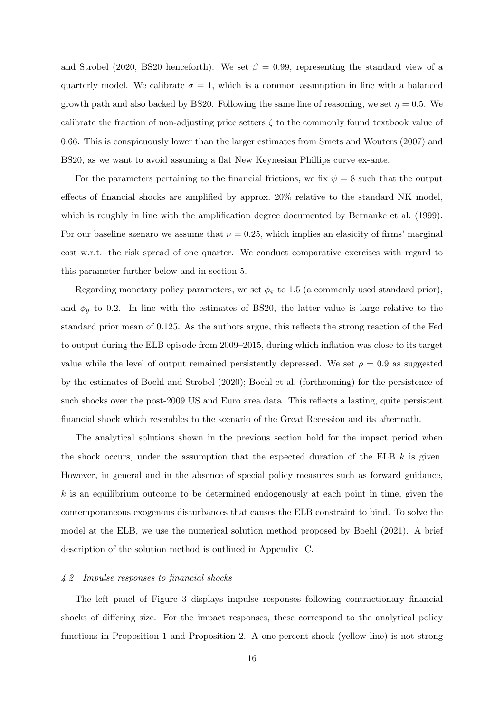[and Strobel](#page-25-3) [\(2020,](#page-25-3) BS20 henceforth). We set  $\beta = 0.99$ , representing the standard view of a quarterly model. We calibrate  $\sigma = 1$ , which is a common assumption in line with a balanced growth path and also backed by BS20. Following the same line of reasoning, we set  $\eta = 0.5$ . We calibrate the fraction of non-adjusting price setters  $\zeta$  to the commonly found textbook value of 0.66. This is conspicuously lower than the larger estimates from [Smets and Wouters](#page-27-1) [\(2007\)](#page-27-1) and BS20, as we want to avoid assuming a flat New Keynesian Phillips curve ex-ante.

For the parameters pertaining to the financial frictions, we fix  $\psi = 8$  such that the output effects of financial shocks are amplified by approx. 20% relative to the standard NK model, which is roughly in line with the amplification degree documented by [Bernanke et al.](#page-25-2) [\(1999\)](#page-25-2). For our baseline szenaro we assume that  $\nu = 0.25$ , which implies an elasicity of firms' marginal cost w.r.t. the risk spread of one quarter. We conduct comparative exercises with regard to this parameter further below and in section [5.](#page-19-0)

Regarding monetary policy parameters, we set  $\phi_{\pi}$  to 1.5 (a commonly used standard prior), and  $\phi_y$  to 0.2. In line with the estimates of BS20, the latter value is large relative to the standard prior mean of 0.125. As the authors argue, this reflects the strong reaction of the Fed to output during the ELB episode from 2009–2015, during which inflation was close to its target value while the level of output remained persistently depressed. We set  $\rho = 0.9$  as suggested by the estimates of [Boehl and Strobel](#page-25-3) [\(2020\)](#page-25-3); [Boehl et al.](#page-25-4) [\(forthcoming\)](#page-25-4) for the persistence of such shocks over the post-2009 US and Euro area data. This reflects a lasting, quite persistent financial shock which resembles to the scenario of the Great Recession and its aftermath.

The analytical solutions shown in the previous section hold for the impact period when the shock occurs, under the assumption that the expected duration of the ELB  $k$  is given. However, in general and in the absence of special policy measures such as forward guidance,  $k$  is an equilibrium outcome to be determined endogenously at each point in time, given the contemporaneous exogenous disturbances that causes the ELB constraint to bind. To solve the model at the ELB, we use the numerical solution method proposed by [Boehl](#page-25-19) [\(2021\)](#page-25-19). A brief description of the solution method is outlined in [Appendix C.](#page-36-0)

#### 4.2 Impulse responses to financial shocks

The left panel of Figure [3](#page-17-0) displays impulse responses following contractionary financial shocks of differing size. For the impact responses, these correspond to the analytical policy functions in Proposition [1](#page-10-0) and Proposition [2.](#page-13-0) A one-percent shock (yellow line) is not strong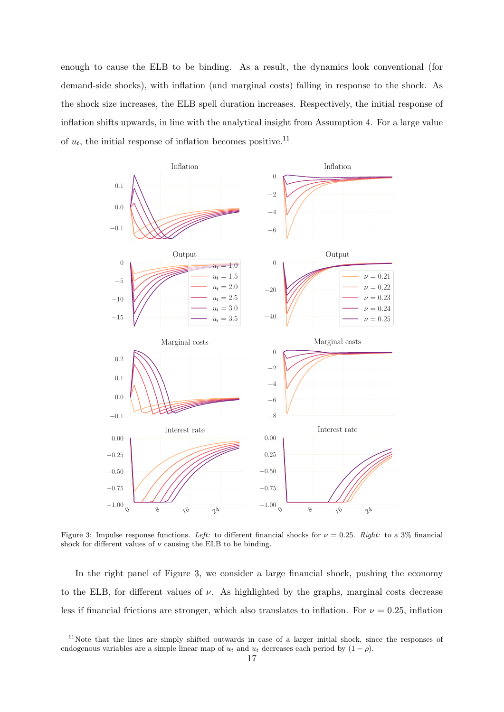enough to cause the ELB to be binding. As a result, the dynamics look conventional (for demand-side shocks), with inflation (and marginal costs) falling in response to the shock. As the shock size increases, the ELB spell duration increases. Respectively, the initial response of inflation shifts upwards, in line with the analytical insight from Assumption [4.](#page-14-1) For a large value of  $u_t$ , the initial response of inflation becomes positive.<sup>[11](#page-0-0)</sup>

<span id="page-17-0"></span>

Figure 3: Impulse response functions. Left: to different financial shocks for  $\nu = 0.25$ . Right: to a 3% financial shock for different values of  $\nu$  causing the ELB to be binding.

In the right panel of Figure [3,](#page-17-0) we consider a large financial shock, pushing the economy to the ELB, for different values of  $\nu$ . As highlighted by the graphs, marginal costs decrease less if financial frictions are stronger, which also translates to inflation. For  $\nu = 0.25$ , inflation

<sup>11</sup>Note that the lines are simply shifted outwards in case of a larger initial shock, since the responses of endogenous variables are a simple linear map of  $u_t$  and  $u_t$  decreases each period by  $(1 - \rho)$ .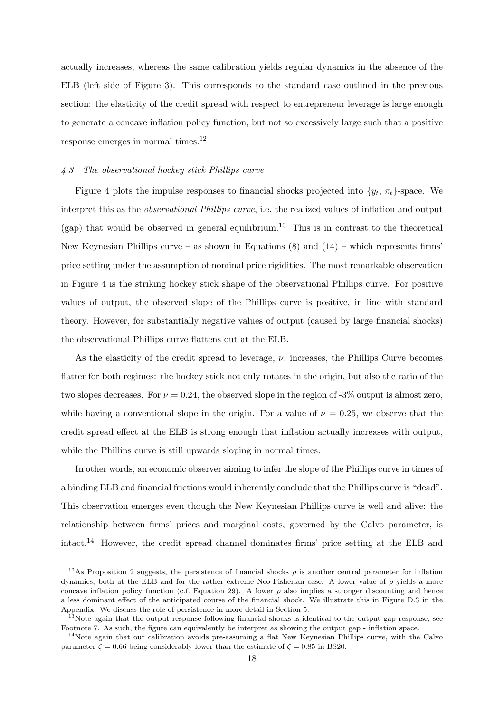actually increases, whereas the same calibration yields regular dynamics in the absence of the ELB (left side of Figure [3\)](#page-17-0). This corresponds to the standard case outlined in the previous section: the elasticity of the credit spread with respect to entrepreneur leverage is large enough to generate a concave inflation policy function, but not so excessively large such that a positive response emerges in normal times.[12](#page-0-0)

## 4.3 The observational hockey stick Phillips curve

Figure [4](#page-19-1) plots the impulse responses to financial shocks projected into  $\{y_t, \pi_t\}$ -space. We interpret this as the observational Phillips curve, i.e. the realized values of inflation and output  $(gap)$  that would be observed in general equilibrium.<sup>[13](#page-0-0)</sup> This is in contrast to the theoretical New Keynesian Phillips curve – as shown in Equations  $(8)$  and  $(14)$  – which represents firms' price setting under the assumption of nominal price rigidities. The most remarkable observation in Figure [4](#page-19-1) is the striking hockey stick shape of the observational Phillips curve. For positive values of output, the observed slope of the Phillips curve is positive, in line with standard theory. However, for substantially negative values of output (caused by large financial shocks) the observational Phillips curve flattens out at the ELB.

As the elasticity of the credit spread to leverage,  $\nu$ , increases, the Phillips Curve becomes flatter for both regimes: the hockey stick not only rotates in the origin, but also the ratio of the two slopes decreases. For  $\nu = 0.24$ , the observed slope in the region of -3% output is almost zero, while having a conventional slope in the origin. For a value of  $\nu = 0.25$ , we observe that the credit spread effect at the ELB is strong enough that inflation actually increases with output, while the Phillips curve is still upwards sloping in normal times.

In other words, an economic observer aiming to infer the slope of the Phillips curve in times of a binding ELB and financial frictions would inherently conclude that the Phillips curve is "dead". This observation emerges even though the New Keynesian Phillips curve is well and alive: the relationship between firms' prices and marginal costs, governed by the Calvo parameter, is intact.[14](#page-0-0) However, the credit spread channel dominates firms' price setting at the ELB and

<sup>&</sup>lt;sup>12</sup>As Proposition [2](#page-13-0) suggests, the persistence of financial shocks  $\rho$  is another central parameter for inflation dynamics, both at the ELB and for the rather extreme Neo-Fisherian case. A lower value of  $\rho$  yields a more concave inflation policy function (c.f. Equation [29\)](#page-13-1). A lower  $\rho$  also implies a stronger discounting and hence a less dominant effect of the anticipated course of the financial shock. We illustrate this in Figure [D.3](#page-40-0) in the Appendix. We discuss the role of persistence in more detail in Section [5.](#page-19-0)

<sup>&</sup>lt;sup>13</sup>Note again that the output response following financial shocks is identical to the output gap response, see Footnote [7.](#page-9-4) As such, the figure can equivalently be interpret as showing the output gap - inflation space.

<sup>&</sup>lt;sup>14</sup>Note again that our calibration avoids pre-assuming a flat New Keynesian Phillips curve, with the Calvo parameter  $\zeta = 0.66$  being considerably lower than the estimate of  $\zeta = 0.85$  in BS20.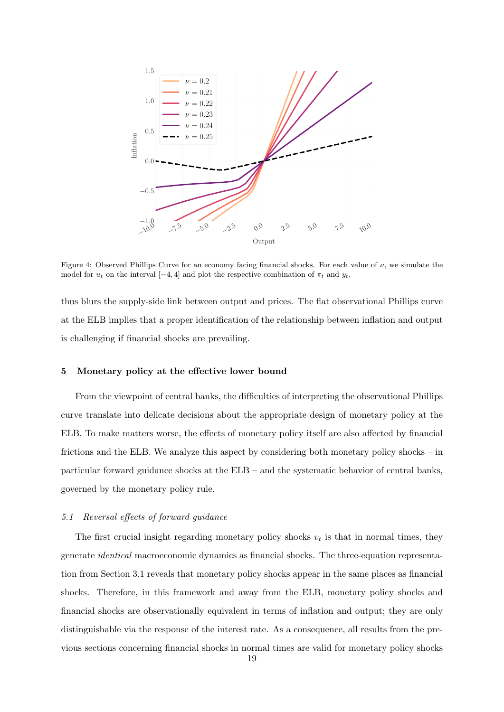<span id="page-19-1"></span>

Figure 4: Observed Phillips Curve for an economy facing financial shocks. For each value of  $\nu$ , we simulate the model for  $u_t$  on the interval [−4, 4] and plot the respective combination of  $\pi_t$  and  $y_t$ .

thus blurs the supply-side link between output and prices. The flat observational Phillips curve at the ELB implies that a proper identification of the relationship between inflation and output is challenging if financial shocks are prevailing.

## <span id="page-19-0"></span>5 Monetary policy at the effective lower bound

From the viewpoint of central banks, the difficulties of interpreting the observational Phillips curve translate into delicate decisions about the appropriate design of monetary policy at the ELB. To make matters worse, the effects of monetary policy itself are also affected by financial frictions and the ELB. We analyze this aspect by considering both monetary policy shocks – in particular forward guidance shocks at the ELB – and the systematic behavior of central banks, governed by the monetary policy rule.

## 5.1 Reversal effects of forward guidance

The first crucial insight regarding monetary policy shocks  $v_t$  is that in normal times, they generate identical macroeconomic dynamics as financial shocks. The three-equation representation from Section [3.1](#page-9-5) reveals that monetary policy shocks appear in the same places as financial shocks. Therefore, in this framework and away from the ELB, monetary policy shocks and financial shocks are observationally equivalent in terms of inflation and output; they are only distinguishable via the response of the interest rate. As a consequence, all results from the previous sections concerning financial shocks in normal times are valid for monetary policy shocks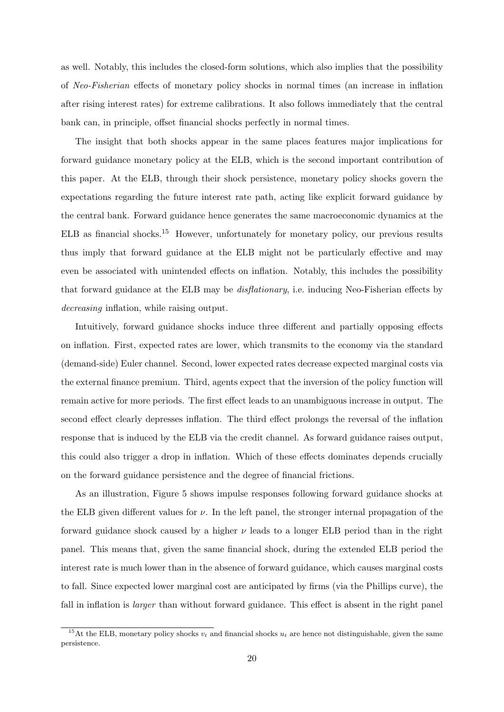as well. Notably, this includes the closed-form solutions, which also implies that the possibility of Neo-Fisherian effects of monetary policy shocks in normal times (an increase in inflation after rising interest rates) for extreme calibrations. It also follows immediately that the central bank can, in principle, offset financial shocks perfectly in normal times.

The insight that both shocks appear in the same places features major implications for forward guidance monetary policy at the ELB, which is the second important contribution of this paper. At the ELB, through their shock persistence, monetary policy shocks govern the expectations regarding the future interest rate path, acting like explicit forward guidance by the central bank. Forward guidance hence generates the same macroeconomic dynamics at the ELB as financial shocks.[15](#page-0-0) However, unfortunately for monetary policy, our previous results thus imply that forward guidance at the ELB might not be particularly effective and may even be associated with unintended effects on inflation. Notably, this includes the possibility that forward guidance at the ELB may be disflationary, i.e. inducing Neo-Fisherian effects by decreasing inflation, while raising output.

Intuitively, forward guidance shocks induce three different and partially opposing effects on inflation. First, expected rates are lower, which transmits to the economy via the standard (demand-side) Euler channel. Second, lower expected rates decrease expected marginal costs via the external finance premium. Third, agents expect that the inversion of the policy function will remain active for more periods. The first effect leads to an unambiguous increase in output. The second effect clearly depresses inflation. The third effect prolongs the reversal of the inflation response that is induced by the ELB via the credit channel. As forward guidance raises output, this could also trigger a drop in inflation. Which of these effects dominates depends crucially on the forward guidance persistence and the degree of financial frictions.

As an illustration, Figure [5](#page-21-0) shows impulse responses following forward guidance shocks at the ELB given different values for  $\nu$ . In the left panel, the stronger internal propagation of the forward guidance shock caused by a higher  $\nu$  leads to a longer ELB period than in the right panel. This means that, given the same financial shock, during the extended ELB period the interest rate is much lower than in the absence of forward guidance, which causes marginal costs to fall. Since expected lower marginal cost are anticipated by firms (via the Phillips curve), the fall in inflation is *larger* than without forward guidance. This effect is absent in the right panel

<sup>&</sup>lt;sup>15</sup>At the ELB, monetary policy shocks  $v_t$  and financial shocks  $u_t$  are hence not distinguishable, given the same persistence.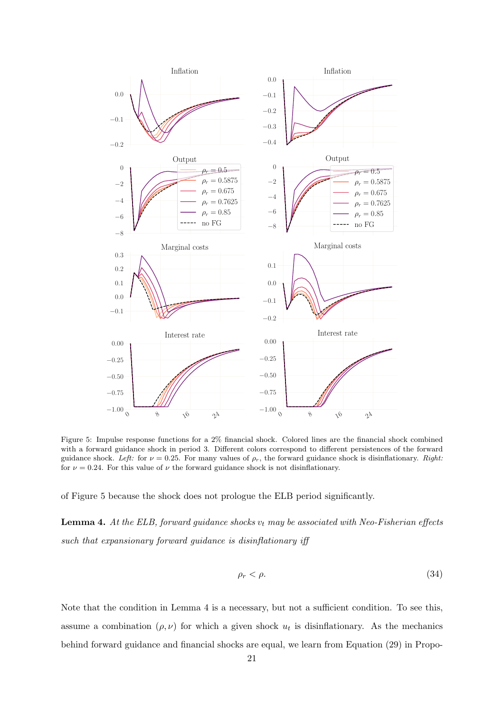<span id="page-21-0"></span>

Figure 5: Impulse response functions for a 2% financial shock. Colored lines are the financial shock combined with a forward guidance shock in period 3. Different colors correspond to different persistences of the forward guidance shock. Left: for  $\nu = 0.25$ . For many values of  $\rho_r$ , the forward guidance shock is disinflationary. Right: for  $\nu = 0.24$ . For this value of  $\nu$  the forward guidance shock is not disinflationary.

of Figure [5](#page-21-0) because the shock does not prologue the ELB period significantly.

<span id="page-21-1"></span>**Lemma 4.** At the ELB, forward guidance shocks  $v_t$  may be associated with Neo-Fisherian effects such that expansionary forward guidance is disinflationary iff

$$
\rho_r < \rho. \tag{34}
$$

Note that the condition in Lemma [4](#page-21-1) is a necessary, but not a sufficient condition. To see this, assume a combination  $(\rho, \nu)$  for which a given shock  $u_t$  is disinflationary. As the mechanics behind forward guidance and financial shocks are equal, we learn from Equation [\(29\)](#page-13-1) in Propo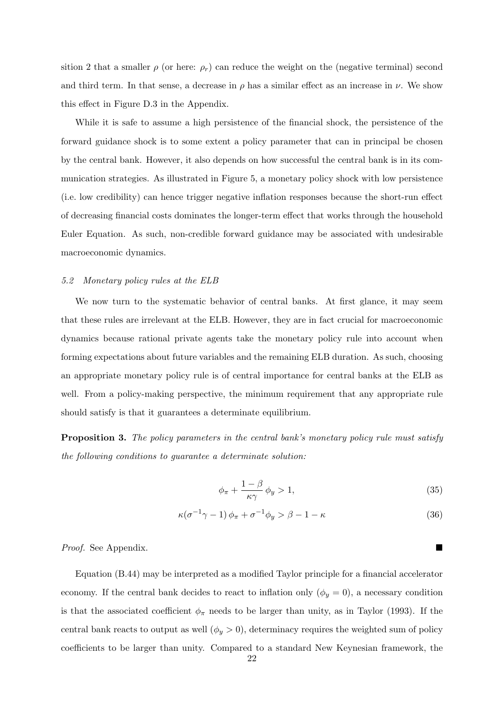sition [2](#page-13-0) that a smaller  $\rho$  (or here:  $\rho_r$ ) can reduce the weight on the (negative terminal) second and third term. In that sense, a decrease in  $\rho$  has a similar effect as an increase in  $\nu$ . We show this effect in Figure [D.3](#page-40-0) in the Appendix.

While it is safe to assume a high persistence of the financial shock, the persistence of the forward guidance shock is to some extent a policy parameter that can in principal be chosen by the central bank. However, it also depends on how successful the central bank is in its communication strategies. As illustrated in Figure [5,](#page-21-0) a monetary policy shock with low persistence (i.e. low credibility) can hence trigger negative inflation responses because the short-run effect of decreasing financial costs dominates the longer-term effect that works through the household Euler Equation. As such, non-credible forward guidance may be associated with undesirable macroeconomic dynamics.

## <span id="page-22-0"></span>5.2 Monetary policy rules at the ELB

We now turn to the systematic behavior of central banks. At first glance, it may seem that these rules are irrelevant at the ELB. However, they are in fact crucial for macroeconomic dynamics because rational private agents take the monetary policy rule into account when forming expectations about future variables and the remaining ELB duration. As such, choosing an appropriate monetary policy rule is of central importance for central banks at the ELB as well. From a policy-making perspective, the minimum requirement that any appropriate rule should satisfy is that it guarantees a determinate equilibrium.

Proposition 3. The policy parameters in the central bank's monetary policy rule must satisfy the following conditions to guarantee a determinate solution:

$$
\phi_{\pi} + \frac{1 - \beta}{\kappa \gamma} \phi_y > 1, \tag{35}
$$

$$
\kappa(\sigma^{-1}\gamma - 1)\phi_{\pi} + \sigma^{-1}\phi_{y} > \beta - 1 - \kappa \tag{36}
$$

*Proof.* See Appendix.

Equation [\(B.44\)](#page-36-1) may be interpreted as a modified Taylor principle for a financial accelerator economy. If the central bank decides to react to inflation only  $(\phi_y = 0)$ , a necessary condition is that the associated coefficient  $\phi_{\pi}$  needs to be larger than unity, as in [Taylor](#page-27-6) [\(1993\)](#page-27-6). If the central bank reacts to output as well  $(\phi_y > 0)$ , determinacy requires the weighted sum of policy coefficients to be larger than unity. Compared to a standard New Keynesian framework, the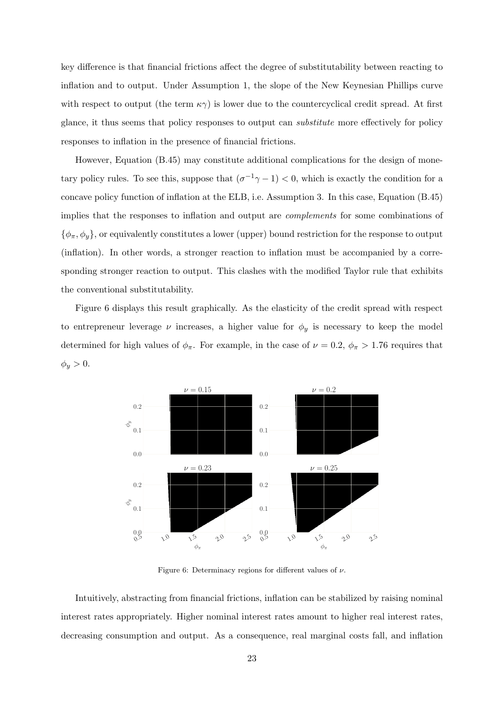key difference is that financial frictions affect the degree of substitutability between reacting to inflation and to output. Under Assumption [1,](#page-8-0) the slope of the New Keynesian Phillips curve with respect to output (the term  $\kappa \gamma$ ) is lower due to the countercyclical credit spread. At first glance, it thus seems that policy responses to output can substitute more effectively for policy responses to inflation in the presence of financial frictions.

However, Equation [\(B.45\)](#page-36-2) may constitute additional complications for the design of monetary policy rules. To see this, suppose that  $(\sigma^{-1}\gamma - 1) < 0$ , which is exactly the condition for a concave policy function of inflation at the ELB, i.e. Assumption [3.](#page-14-0) In this case, Equation [\(B.45\)](#page-36-2) implies that the responses to inflation and output are complements for some combinations of  $\{\phi_{\pi}, \phi_y\}$ , or equivalently constitutes a lower (upper) bound restriction for the response to output (inflation). In other words, a stronger reaction to inflation must be accompanied by a corresponding stronger reaction to output. This clashes with the modified Taylor rule that exhibits the conventional substitutability.

Figure [6](#page-23-0) displays this result graphically. As the elasticity of the credit spread with respect to entrepreneur leverage  $\nu$  increases, a higher value for  $\phi_y$  is necessary to keep the model determined for high values of  $\phi_{\pi}$ . For example, in the case of  $\nu = 0.2$ ,  $\phi_{\pi} > 1.76$  requires that  $\phi_y > 0.$ 

<span id="page-23-0"></span>

Figure 6: Determinacy regions for different values of  $\nu$ .

Intuitively, abstracting from financial frictions, inflation can be stabilized by raising nominal interest rates appropriately. Higher nominal interest rates amount to higher real interest rates, decreasing consumption and output. As a consequence, real marginal costs fall, and inflation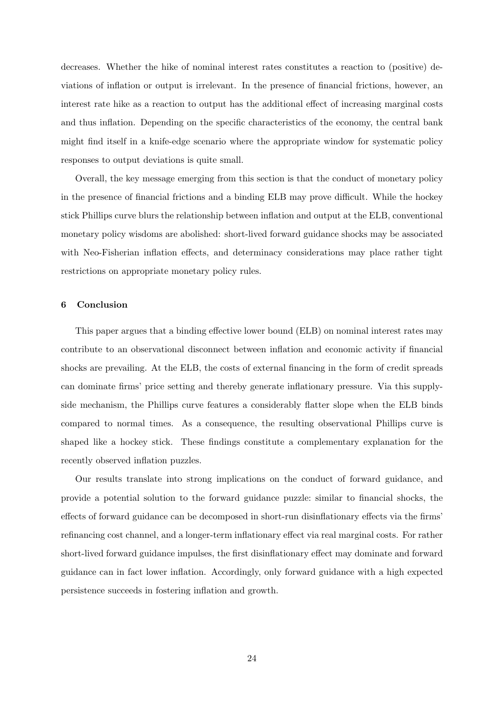decreases. Whether the hike of nominal interest rates constitutes a reaction to (positive) deviations of inflation or output is irrelevant. In the presence of financial frictions, however, an interest rate hike as a reaction to output has the additional effect of increasing marginal costs and thus inflation. Depending on the specific characteristics of the economy, the central bank might find itself in a knife-edge scenario where the appropriate window for systematic policy responses to output deviations is quite small.

Overall, the key message emerging from this section is that the conduct of monetary policy in the presence of financial frictions and a binding ELB may prove difficult. While the hockey stick Phillips curve blurs the relationship between inflation and output at the ELB, conventional monetary policy wisdoms are abolished: short-lived forward guidance shocks may be associated with Neo-Fisherian inflation effects, and determinacy considerations may place rather tight restrictions on appropriate monetary policy rules.

## <span id="page-24-0"></span>6 Conclusion

This paper argues that a binding effective lower bound (ELB) on nominal interest rates may contribute to an observational disconnect between inflation and economic activity if financial shocks are prevailing. At the ELB, the costs of external financing in the form of credit spreads can dominate firms' price setting and thereby generate inflationary pressure. Via this supplyside mechanism, the Phillips curve features a considerably flatter slope when the ELB binds compared to normal times. As a consequence, the resulting observational Phillips curve is shaped like a hockey stick. These findings constitute a complementary explanation for the recently observed inflation puzzles.

Our results translate into strong implications on the conduct of forward guidance, and provide a potential solution to the forward guidance puzzle: similar to financial shocks, the effects of forward guidance can be decomposed in short-run disinflationary effects via the firms' refinancing cost channel, and a longer-term inflationary effect via real marginal costs. For rather short-lived forward guidance impulses, the first disinflationary effect may dominate and forward guidance can in fact lower inflation. Accordingly, only forward guidance with a high expected persistence succeeds in fostering inflation and growth.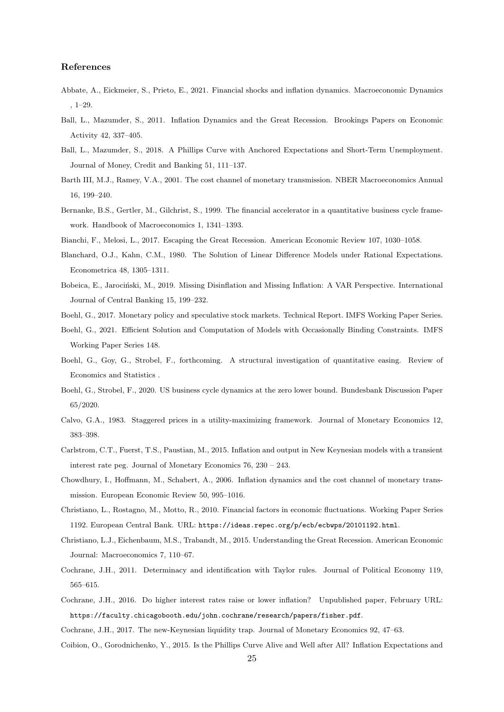## References

- <span id="page-25-13"></span>Abbate, A., Eickmeier, S., Prieto, E., 2021. Financial shocks and inflation dynamics. Macroeconomic Dynamics , 1–29.
- <span id="page-25-0"></span>Ball, L., Mazumder, S., 2011. Inflation Dynamics and the Great Recession. Brookings Papers on Economic Activity 42, 337–405.
- <span id="page-25-6"></span>Ball, L., Mazumder, S., 2018. A Phillips Curve with Anchored Expectations and Short-Term Unemployment. Journal of Money, Credit and Banking 51, 111–137.
- <span id="page-25-11"></span>Barth III, M.J., Ramey, V.A., 2001. The cost channel of monetary transmission. NBER Macroeconomics Annual 16, 199–240.
- <span id="page-25-2"></span>Bernanke, B.S., Gertler, M., Gilchrist, S., 1999. The financial accelerator in a quantitative business cycle framework. Handbook of Macroeconomics 1, 1341–1393.

<span id="page-25-20"></span><span id="page-25-9"></span>Bianchi, F., Melosi, L., 2017. Escaping the Great Recession. American Economic Review 107, 1030–1058.

- Blanchard, O.J., Kahn, C.M., 1980. The Solution of Linear Difference Models under Rational Expectations. Econometrica 48, 1305–1311.
- <span id="page-25-7"></span>Bobeica, E., Jarociński, M., 2019. Missing Disinflation and Missing Inflation: A VAR Perspective. International Journal of Central Banking 15, 199–232.
- <span id="page-25-19"></span><span id="page-25-17"></span>Boehl, G., 2017. Monetary policy and speculative stock markets. Technical Report. IMFS Working Paper Series.
- Boehl, G., 2021. Efficient Solution and Computation of Models with Occasionally Binding Constraints. IMFS Working Paper Series 148.
- <span id="page-25-4"></span>Boehl, G., Goy, G., Strobel, F., forthcoming. A structural investigation of quantitative easing. Review of Economics and Statistics .
- <span id="page-25-3"></span>Boehl, G., Strobel, F., 2020. US business cycle dynamics at the zero lower bound. Bundesbank Discussion Paper 65/2020.
- <span id="page-25-18"></span>Calvo, G.A., 1983. Staggered prices in a utility-maximizing framework. Journal of Monetary Economics 12, 383–398.
- <span id="page-25-5"></span>Carlstrom, C.T., Fuerst, T.S., Paustian, M., 2015. Inflation and output in New Keynesian models with a transient interest rate peg. Journal of Monetary Economics 76, 230 – 243.
- <span id="page-25-12"></span>Chowdhury, I., Hoffmann, M., Schabert, A., 2006. Inflation dynamics and the cost channel of monetary transmission. European Economic Review 50, 995–1016.
- <span id="page-25-10"></span>Christiano, L., Rostagno, M., Motto, R., 2010. Financial factors in economic fluctuations. Working Paper Series 1192. European Central Bank. URL: <https://ideas.repec.org/p/ecb/ecbwps/20101192.html>.
- <span id="page-25-8"></span>Christiano, L.J., Eichenbaum, M.S., Trabandt, M., 2015. Understanding the Great Recession. American Economic Journal: Macroeconomics 7, 110–67.
- <span id="page-25-14"></span>Cochrane, J.H., 2011. Determinacy and identification with Taylor rules. Journal of Political Economy 119, 565–615.
- <span id="page-25-15"></span>Cochrane, J.H., 2016. Do higher interest rates raise or lower inflation? Unpublished paper, February URL: <https://faculty.chicagobooth.edu/john.cochrane/research/papers/fisher.pdf>.
- <span id="page-25-16"></span><span id="page-25-1"></span>Cochrane, J.H., 2017. The new-Keynesian liquidity trap. Journal of Monetary Economics 92, 47–63.
- Coibion, O., Gorodnichenko, Y., 2015. Is the Phillips Curve Alive and Well after All? Inflation Expectations and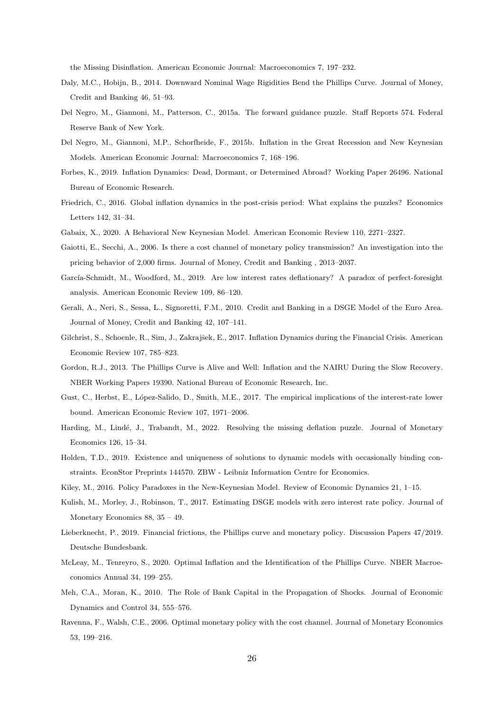the Missing Disinflation. American Economic Journal: Macroeconomics 7, 197–232.

- <span id="page-26-9"></span>Daly, M.C., Hobijn, B., 2014. Downward Nominal Wage Rigidities Bend the Phillips Curve. Journal of Money, Credit and Banking 46, 51–93.
- <span id="page-26-5"></span>Del Negro, M., Giannoni, M., Patterson, C., 2015a. The forward guidance puzzle. Staff Reports 574. Federal Reserve Bank of New York.
- <span id="page-26-13"></span>Del Negro, M., Giannoni, M.P., Schorfheide, F., 2015b. Inflation in the Great Recession and New Keynesian Models. American Economic Journal: Macroeconomics 7, 168–196.
- <span id="page-26-12"></span>Forbes, K., 2019. Inflation Dynamics: Dead, Dormant, or Determined Abroad? Working Paper 26496. National Bureau of Economic Research.
- <span id="page-26-7"></span>Friedrich, C., 2016. Global inflation dynamics in the post-crisis period: What explains the puzzles? Economics Letters 142, 31–34.
- <span id="page-26-17"></span><span id="page-26-16"></span>Gabaix, X., 2020. A Behavioral New Keynesian Model. American Economic Review 110, 2271–2327.
- Gaiotti, E., Secchi, A., 2006. Is there a cost channel of monetary policy transmission? An investigation into the pricing behavior of 2,000 firms. Journal of Money, Credit and Banking , 2013–2037.
- <span id="page-26-18"></span>García-Schmidt, M., Woodford, M., 2019. Are low interest rates deflationary? A paradox of perfect-foresight analysis. American Economic Review 109, 86–120.
- <span id="page-26-15"></span>Gerali, A., Neri, S., Sessa, L., Signoretti, F.M., 2010. Credit and Banking in a DSGE Model of the Euro Area. Journal of Money, Credit and Banking 42, 107–141.
- <span id="page-26-1"></span>Gilchrist, S., Schoenle, R., Sim, J., Zakrajšek, E., 2017. Inflation Dynamics during the Financial Crisis. American Economic Review 107, 785–823.
- <span id="page-26-8"></span>Gordon, R.J., 2013. The Phillips Curve is Alive and Well: Inflation and the NAIRU During the Slow Recovery. NBER Working Papers 19390. National Bureau of Economic Research, Inc.
- <span id="page-26-3"></span>Gust, C., Herbst, E., López-Salido, D., Smith, M.E., 2017. The empirical implications of the interest-rate lower bound. American Economic Review 107, 1971–2006.
- <span id="page-26-0"></span>Harding, M., Lindé, J., Trabandt, M., 2022. Resolving the missing deflation puzzle. Journal of Monetary Economics 126, 15–34.
- <span id="page-26-19"></span>Holden, T.D., 2019. Existence and uniqueness of solutions to dynamic models with occasionally binding constraints. EconStor Preprints 144570. ZBW - Leibniz Information Centre for Economics.
- <span id="page-26-6"></span><span id="page-26-4"></span>Kiley, M., 2016. Policy Paradoxes in the New-Keynesian Model. Review of Economic Dynamics 21, 1–15.
- Kulish, M., Morley, J., Robinson, T., 2017. Estimating DSGE models with zero interest rate policy. Journal of Monetary Economics 88, 35 – 49.
- <span id="page-26-10"></span>Lieberknecht, P., 2019. Financial frictions, the Phillips curve and monetary policy. Discussion Papers 47/2019. Deutsche Bundesbank.
- <span id="page-26-11"></span>McLeay, M., Tenreyro, S., 2020. Optimal Inflation and the Identification of the Phillips Curve. NBER Macroeconomics Annual 34, 199–255.
- <span id="page-26-14"></span>Meh, C.A., Moran, K., 2010. The Role of Bank Capital in the Propagation of Shocks. Journal of Economic Dynamics and Control 34, 555–576.
- <span id="page-26-2"></span>Ravenna, F., Walsh, C.E., 2006. Optimal monetary policy with the cost channel. Journal of Monetary Economics 53, 199–216.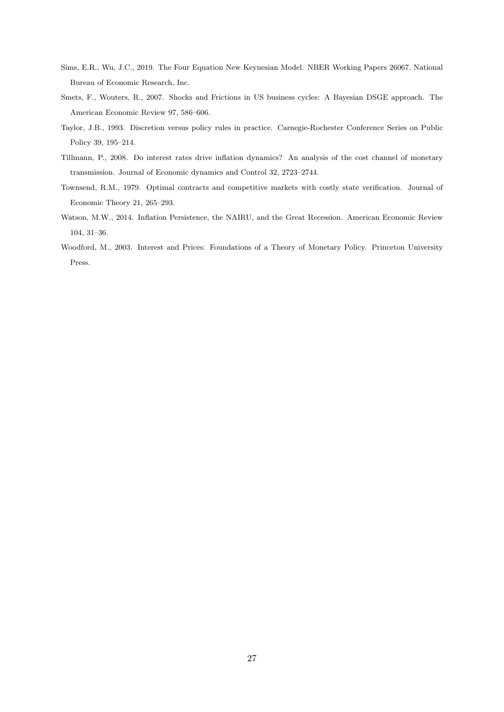- <span id="page-27-3"></span>Sims, E.R., Wu, J.C., 2019. The Four Equation New Keynesian Model. NBER Working Papers 26067. National Bureau of Economic Research, Inc.
- <span id="page-27-1"></span>Smets, F., Wouters, R., 2007. Shocks and Frictions in US business cycles: A Bayesian DSGE approach. The American Economic Review 97, 586–606.
- <span id="page-27-6"></span>Taylor, J.B., 1993. Discretion versus policy rules in practice. Carnegie-Rochester Conference Series on Public Policy 39, 195–214.
- <span id="page-27-4"></span>Tillmann, P., 2008. Do interest rates drive inflation dynamics? An analysis of the cost channel of monetary transmission. Journal of Economic dynamics and Control 32, 2723–2744.
- <span id="page-27-0"></span>Townsend, R.M., 1979. Optimal contracts and competitive markets with costly state verification. Journal of Economic Theory 21, 265–293.
- <span id="page-27-2"></span>Watson, M.W., 2014. Inflation Persistence, the NAIRU, and the Great Recession. American Economic Review 104, 31–36.
- <span id="page-27-5"></span>Woodford, M., 2003. Interest and Prices: Foundations of a Theory of Monetary Policy. Princeton University Press.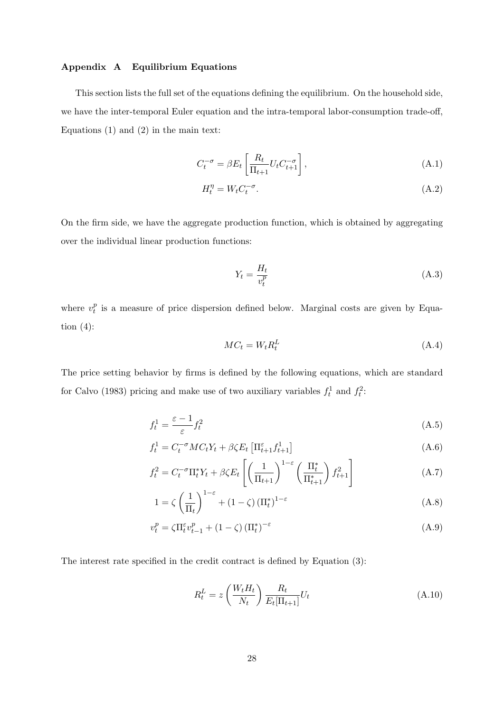## Appendix A Equilibrium Equations

This section lists the full set of the equations defining the equilibrium. On the household side, we have the inter-temporal Euler equation and the intra-temporal labor-consumption trade-off, Equations  $(1)$  and  $(2)$  in the main text:

$$
C_t^{-\sigma} = \beta E_t \left[ \frac{R_t}{\Pi_{t+1}} U_t C_{t+1}^{-\sigma} \right],\tag{A.1}
$$

$$
H_t^{\eta} = W_t C_t^{-\sigma}.
$$
\n(A.2)

On the firm side, we have the aggregate production function, which is obtained by aggregating over the individual linear production functions:

$$
Y_t = \frac{H_t}{v_t^p} \tag{A.3}
$$

where  $v_t^p$  $_t^p$  is a measure of price dispersion defined below. Marginal costs are given by Equation  $(4)$ :

$$
MC_t = W_t R_t^L \tag{A.4}
$$

The price setting behavior by firms is defined by the following equations, which are standard for [Calvo](#page-25-18) [\(1983\)](#page-25-18) pricing and make use of two auxiliary variables  $f_t^1$  and  $f_t^2$ :

$$
f_t^1 = \frac{\varepsilon - 1}{\varepsilon} f_t^2 \tag{A.5}
$$

$$
f_t^1 = C_t^{-\sigma}MC_tY_t + \beta \zeta E_t \left[ \Pi_{t+1}^{\varepsilon} f_{t+1}^1 \right]
$$
\n(A.6)

$$
f_t^2 = C_t^{-\sigma} \Pi_t^* Y_t + \beta \zeta E_t \left[ \left( \frac{1}{\Pi_{t+1}} \right)^{1-\varepsilon} \left( \frac{\Pi_t^*}{\Pi_{t+1}^*} \right) f_{t+1}^2 \right]
$$
(A.7)

$$
1 = \zeta \left(\frac{1}{\Pi_t}\right)^{1-\varepsilon} + (1-\zeta) \left(\Pi_t^*\right)^{1-\varepsilon} \tag{A.8}
$$

$$
v_t^p = \zeta \Pi_t^{\varepsilon} v_{t-1}^p + (1 - \zeta) (\Pi_t^*)^{-\varepsilon}
$$
\n(A.9)

The interest rate specified in the credit contract is defined by Equation [\(3\)](#page-6-1):

$$
R_t^L = z \left(\frac{W_t H_t}{N_t}\right) \frac{R_t}{E_t[\Pi_{t+1}]} U_t \tag{A.10}
$$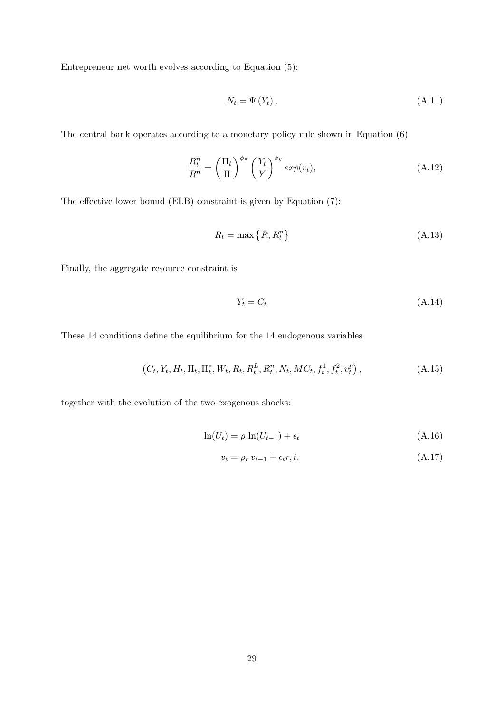Entrepreneur net worth evolves according to Equation [\(5\)](#page-6-2):

$$
N_t = \Psi(Y_t), \tag{A.11}
$$

The central bank operates according to a monetary policy rule shown in Equation [\(6\)](#page-7-2)

$$
\frac{R_t^n}{R^n} = \left(\frac{\Pi_t}{\Pi}\right)^{\phi_\pi} \left(\frac{Y_t}{Y}\right)^{\phi_y} \exp(v_t),\tag{A.12}
$$

The effective lower bound (ELB) constraint is given by Equation [\(7\)](#page-7-0):

$$
R_t = \max\left\{\bar{R}, R_t^n\right\} \tag{A.13}
$$

Finally, the aggregate resource constraint is

$$
Y_t = C_t \tag{A.14}
$$

These 14 conditions define the equilibrium for the 14 endogenous variables

$$
(C_t, Y_t, H_t, \Pi_t, \Pi_t^*, W_t, R_t, R_t^L, R_t^n, N_t, MC_t, f_t^1, f_t^2, v_t^p), \qquad (A.15)
$$

together with the evolution of the two exogenous shocks:

$$
\ln(U_t) = \rho \ln(U_{t-1}) + \epsilon_t \tag{A.16}
$$

$$
v_t = \rho_r v_{t-1} + \epsilon_t r, t. \tag{A.17}
$$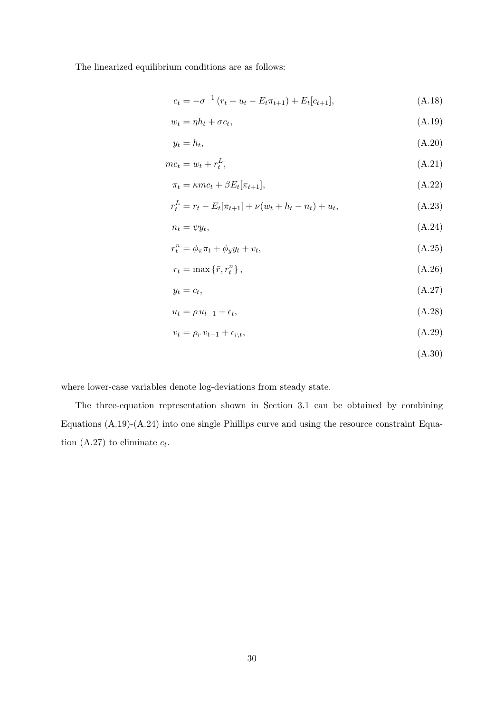The linearized equilibrium conditions are as follows:

<span id="page-30-0"></span>
$$
c_t = -\sigma^{-1} (r_t + u_t - E_t \pi_{t+1}) + E_t[c_{t+1}], \tag{A.18}
$$

$$
w_t = \eta h_t + \sigma c_t,\tag{A.19}
$$

$$
y_t = h_t,\tag{A.20}
$$

$$
mc_t = w_t + r_t^L,\tag{A.21}
$$

$$
\pi_t = \kappa m c_t + \beta E_t[\pi_{t+1}],\tag{A.22}
$$

$$
r_t^L = r_t - E_t[\pi_{t+1}] + \nu(w_t + h_t - n_t) + u_t,
$$
\n(A.23)

$$
n_t = \psi y_t,\tag{A.24}
$$

$$
r_t^n = \phi_\pi \pi_t + \phi_y y_t + v_t,\tag{A.25}
$$

$$
r_t = \max\left\{\bar{r}, r_t^n\right\},\tag{A.26}
$$

$$
y_t = c_t,\tag{A.27}
$$

$$
u_t = \rho u_{t-1} + \epsilon_t,\tag{A.28}
$$

$$
v_t = \rho_r v_{t-1} + \epsilon_{r,t},\tag{A.29}
$$

## <span id="page-30-2"></span><span id="page-30-1"></span>(A.30)

where lower-case variables denote log-deviations from steady state.

The three-equation representation shown in Section [3.1](#page-9-5) can be obtained by combining Equations [\(A.19\)](#page-30-0)-[\(A.24\)](#page-30-1) into one single Phillips curve and using the resource constraint Equa-tion [\(A.27\)](#page-30-2) to eliminate  $c_t$ .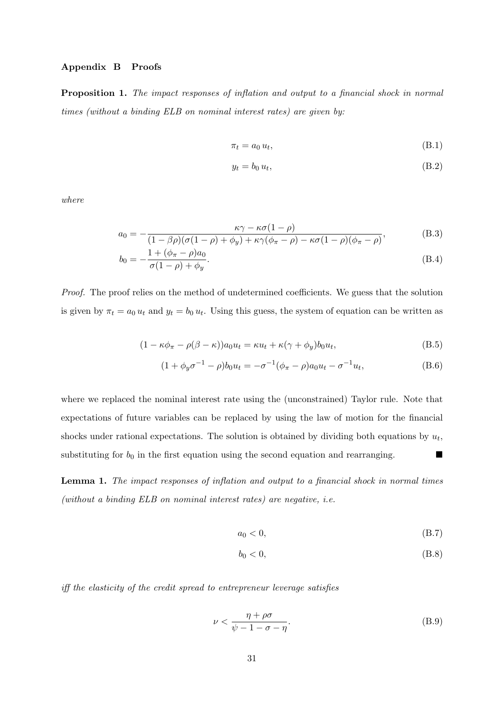## Appendix B Proofs

Proposition 1. The impact responses of inflation and output to a financial shock in normal times (without a binding ELB on nominal interest rates) are given by:

$$
\pi_t = a_0 u_t,\tag{B.1}
$$

$$
y_t = b_0 u_t,\tag{B.2}
$$

where

$$
a_0 = -\frac{\kappa \gamma - \kappa \sigma (1 - \rho)}{(1 - \beta \rho)(\sigma (1 - \rho) + \phi_y) + \kappa \gamma (\phi_\pi - \rho) - \kappa \sigma (1 - \rho)(\phi_\pi - \rho)},
$$
(B.3)

$$
b_0 = -\frac{1 + (\phi_\pi - \rho)a_0}{\sigma(1 - \rho) + \phi_y}.
$$
\n(B.4)

Proof. The proof relies on the method of undetermined coefficients. We guess that the solution is given by  $\pi_t = a_0 u_t$  and  $y_t = b_0 u_t$ . Using this guess, the system of equation can be written as

$$
(1 - \kappa \phi_{\pi} - \rho(\beta - \kappa))a_0 u_t = \kappa u_t + \kappa(\gamma + \phi_y)b_0 u_t,
$$
\n(B.5)

$$
(1 + \phi_y \sigma^{-1} - \rho)b_0 u_t = -\sigma^{-1}(\phi_\pi - \rho)a_0 u_t - \sigma^{-1}u_t,
$$
\n(B.6)

where we replaced the nominal interest rate using the (unconstrained) Taylor rule. Note that expectations of future variables can be replaced by using the law of motion for the financial shocks under rational expectations. The solution is obtained by dividing both equations by  $u_t$ , substituting for  $b_0$  in the first equation using the second equation and rearranging.  $\blacksquare$ 

Lemma 1. The impact responses of inflation and output to a financial shock in normal times (without a binding ELB on nominal interest rates) are negative, i.e.

$$
a_0 < 0,\tag{B.7}
$$

$$
b_0 < 0,\tag{B.8}
$$

iff the elasticity of the credit spread to entrepreneur leverage satisfies

$$
\nu < \frac{\eta + \rho \sigma}{\psi - 1 - \sigma - \eta}.\tag{B.9}
$$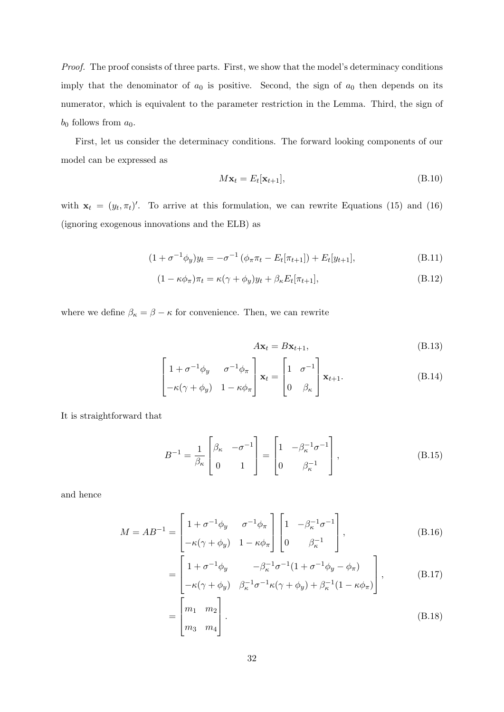Proof. The proof consists of three parts. First, we show that the model's determinacy conditions imply that the denominator of  $a_0$  is positive. Second, the sign of  $a_0$  then depends on its numerator, which is equivalent to the parameter restriction in the Lemma. Third, the sign of  $b_0$  follows from  $a_0$ .

First, let us consider the determinacy conditions. The forward looking components of our model can be expressed as

$$
M\mathbf{x}_t = E_t[\mathbf{x}_{t+1}],\tag{B.10}
$$

with  $\mathbf{x}_t = (y_t, \pi_t)'$ . To arrive at this formulation, we can rewrite Equations [\(15\)](#page-9-2) and [\(16\)](#page-9-3) (ignoring exogenous innovations and the ELB) as

$$
(1 + \sigma^{-1} \phi_y) y_t = -\sigma^{-1} (\phi_\pi \pi_t - E_t[\pi_{t+1}]) + E_t[y_{t+1}], \tag{B.11}
$$

$$
(1 - \kappa \phi_{\pi}) \pi_t = \kappa (\gamma + \phi_y) y_t + \beta_{\kappa} E_t[\pi_{t+1}], \tag{B.12}
$$

where we define  $\beta_{\kappa}=\beta-\kappa$  for convenience. Then, we can rewrite

$$
A\mathbf{x}_t = B\mathbf{x}_{t+1},\tag{B.13}
$$

$$
\begin{bmatrix} 1 + \sigma^{-1} \phi_y & \sigma^{-1} \phi_\pi \\ -\kappa (\gamma + \phi_y) & 1 - \kappa \phi_\pi \end{bmatrix} \mathbf{x}_t = \begin{bmatrix} 1 & \sigma^{-1} \\ 0 & \beta_\kappa \end{bmatrix} \mathbf{x}_{t+1}.
$$
 (B.14)

It is straightforward that

$$
B^{-1} = \frac{1}{\beta_{\kappa}} \begin{bmatrix} \beta_{\kappa} & -\sigma^{-1} \\ 0 & 1 \end{bmatrix} = \begin{bmatrix} 1 & -\beta_{\kappa}^{-1}\sigma^{-1} \\ 0 & \beta_{\kappa}^{-1} \end{bmatrix},
$$
(B.15)

and hence

$$
M = AB^{-1} = \begin{bmatrix} 1 + \sigma^{-1} \phi_y & \sigma^{-1} \phi_\pi \\ -\kappa (\gamma + \phi_y) & 1 - \kappa \phi_\pi \end{bmatrix} \begin{bmatrix} 1 & -\beta_\kappa^{-1} \sigma^{-1} \\ 0 & \beta_\kappa^{-1} \end{bmatrix},
$$
(B.16)

$$
= \begin{bmatrix} 1 + \sigma^{-1} \phi_y & -\beta_\kappa^{-1} \sigma^{-1} (1 + \sigma^{-1} \phi_y - \phi_\pi) \\ -\kappa (\gamma + \phi_y) & \beta_\kappa^{-1} \sigma^{-1} \kappa (\gamma + \phi_y) + \beta_\kappa^{-1} (1 - \kappa \phi_\pi) \end{bmatrix},
$$
(B.17)

$$
=\begin{bmatrix} m_1 & m_2 \\ m_3 & m_4 \end{bmatrix} . \tag{B.18}
$$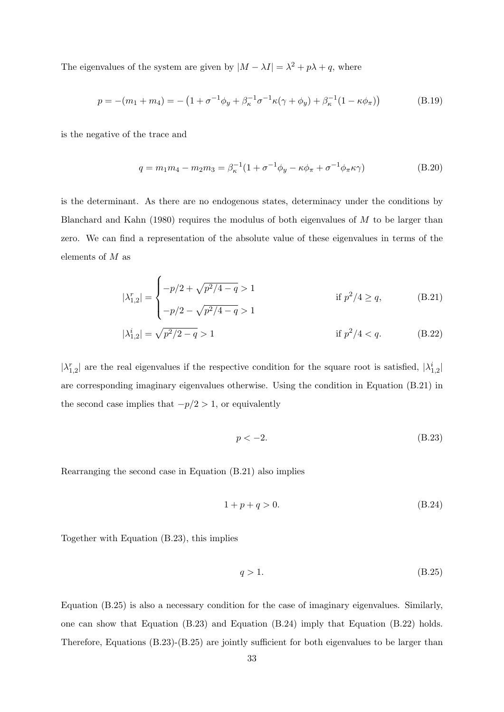The eigenvalues of the system are given by  $|M - \lambda I| = \lambda^2 + p\lambda + q$ , where

$$
p = -(m_1 + m_4) = -(1 + \sigma^{-1}\phi_y + \beta_\kappa^{-1}\sigma^{-1}\kappa(\gamma + \phi_y) + \beta_\kappa^{-1}(1 - \kappa\phi_\pi))
$$
(B.19)

is the negative of the trace and

$$
q = m_1 m_4 - m_2 m_3 = \beta_{\kappa}^{-1} (1 + \sigma^{-1} \phi_y - \kappa \phi_\pi + \sigma^{-1} \phi_\pi \kappa \gamma)
$$
(B.20)

is the determinant. As there are no endogenous states, determinacy under the conditions by [Blanchard and Kahn](#page-25-20) [\(1980\)](#page-25-20) requires the modulus of both eigenvalues of M to be larger than zero. We can find a representation of the absolute value of these eigenvalues in terms of the elements of M as

$$
|\lambda_{1,2}^r| = \begin{cases} -p/2 + \sqrt{p^2/4 - q} > 1 & \text{if } p^2/4 \ge q, \\ -p/2 - \sqrt{p^2/4 - q} > 1 & \text{if } p^2/4 < q. \end{cases} \tag{B.21}
$$
\n
$$
|\lambda_{1,2}^i| = \sqrt{p^2/2 - q} > 1 \qquad \text{if } p^2/4 < q. \tag{B.22}
$$

 $|\lambda_{1,2}^r|$  are the real eigenvalues if the respective condition for the square root is satisfied,  $|\lambda_{1,2}^i|$ are corresponding imaginary eigenvalues otherwise. Using the condition in Equation [\(B.21\)](#page-33-0) in the second case implies that  $-p/2 > 1$ , or equivalently

<span id="page-33-4"></span><span id="page-33-1"></span><span id="page-33-0"></span>
$$
p < -2. \tag{B.23}
$$

Rearranging the second case in Equation [\(B.21\)](#page-33-0) also implies

 $\overline{\phantom{a}}$ 

<span id="page-33-3"></span>
$$
1 + p + q > 0. \tag{B.24}
$$

Together with Equation [\(B.23\)](#page-33-1), this implies

<span id="page-33-2"></span>
$$
q > 1. \tag{B.25}
$$

Equation [\(B.25\)](#page-33-2) is also a necessary condition for the case of imaginary eigenvalues. Similarly, one can show that Equation [\(B.23\)](#page-33-1) and Equation [\(B.24\)](#page-33-3) imply that Equation [\(B.22\)](#page-33-4) holds. Therefore, Equations [\(B.23\)](#page-33-1)-[\(B.25\)](#page-33-2) are jointly sufficient for both eigenvalues to be larger than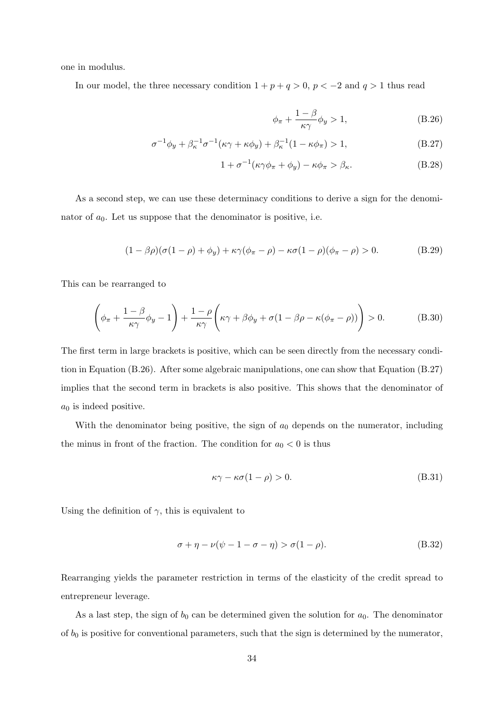one in modulus.

In our model, the three necessary condition  $1 + p + q > 0$ ,  $p < -2$  and  $q > 1$  thus read

<span id="page-34-2"></span><span id="page-34-1"></span><span id="page-34-0"></span>
$$
\phi_{\pi} + \frac{1 - \beta}{\kappa \gamma} \phi_y > 1, \tag{B.26}
$$

$$
\sigma^{-1}\phi_y + \beta_{\kappa}^{-1}\sigma^{-1}(\kappa\gamma + \kappa\phi_y) + \beta_{\kappa}^{-1}(1 - \kappa\phi_{\pi}) > 1,
$$
\n(B.27)

$$
1 + \sigma^{-1}(\kappa \gamma \phi_{\pi} + \phi_y) - \kappa \phi_{\pi} > \beta_{\kappa}.
$$
 (B.28)

As a second step, we can use these determinacy conditions to derive a sign for the denominator of  $a_0$ . Let us suppose that the denominator is positive, i.e.

$$
(1 - \beta \rho)(\sigma(1 - \rho) + \phi_y) + \kappa \gamma(\phi_\pi - \rho) - \kappa \sigma(1 - \rho)(\phi_\pi - \rho) > 0.
$$
 (B.29)

This can be rearranged to

$$
\left(\phi_{\pi} + \frac{1-\beta}{\kappa\gamma}\phi_y - 1\right) + \frac{1-\rho}{\kappa\gamma}\left(\kappa\gamma + \beta\phi_y + \sigma(1-\beta\rho - \kappa(\phi_{\pi}-\rho))\right) > 0.
$$
 (B.30)

The first term in large brackets is positive, which can be seen directly from the necessary condition in Equation [\(B.26\)](#page-34-0). After some algebraic manipulations, one can show that Equation [\(B.27\)](#page-34-1) implies that the second term in brackets is also positive. This shows that the denominator of  $a_0$  is indeed positive.

With the denominator being positive, the sign of  $a_0$  depends on the numerator, including the minus in front of the fraction. The condition for  $a_0 < 0$  is thus

$$
\kappa \gamma - \kappa \sigma (1 - \rho) > 0. \tag{B.31}
$$

Using the definition of  $\gamma$ , this is equivalent to

$$
\sigma + \eta - \nu(\psi - 1 - \sigma - \eta) > \sigma(1 - \rho).
$$
 (B.32)

Rearranging yields the parameter restriction in terms of the elasticity of the credit spread to entrepreneur leverage.

As a last step, the sign of  $b_0$  can be determined given the solution for  $a_0$ . The denominator of  $b_0$  is positive for conventional parameters, such that the sign is determined by the numerator,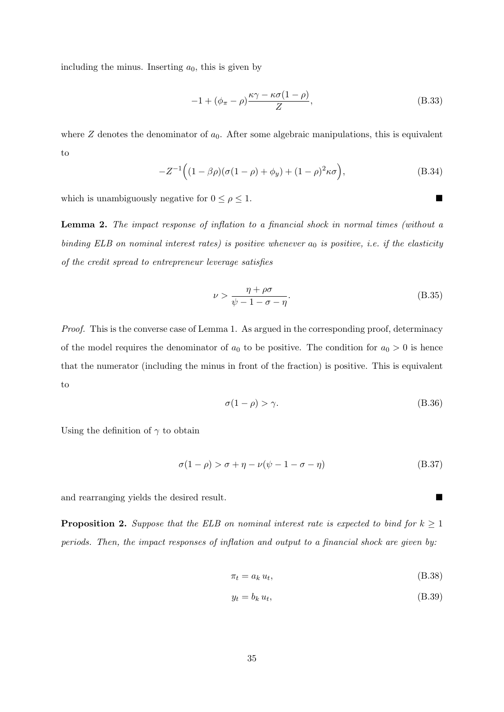including the minus. Inserting  $a_0$ , this is given by

$$
-1 + (\phi_{\pi} - \rho) \frac{\kappa \gamma - \kappa \sigma (1 - \rho)}{Z}, \tag{B.33}
$$

where  $Z$  denotes the denominator of  $a_0$ . After some algebraic manipulations, this is equivalent to

$$
-Z^{-1}((1 - \beta \rho)(\sigma(1 - \rho) + \phi_y) + (1 - \rho)^2 \kappa \sigma), \tag{B.34}
$$

which is unambiguously negative for  $0 \leq \rho \leq 1$ .

Lemma 2. The impact response of inflation to a financial shock in normal times (without a binding ELB on nominal interest rates) is positive whenever  $a_0$  is positive, i.e. if the elasticity of the credit spread to entrepreneur leverage satisfies

$$
\nu > \frac{\eta + \rho \sigma}{\psi - 1 - \sigma - \eta}.\tag{B.35}
$$

Proof. This is the converse case of Lemma 1. As argued in the corresponding proof, determinacy of the model requires the denominator of  $a_0$  to be positive. The condition for  $a_0 > 0$  is hence that the numerator (including the minus in front of the fraction) is positive. This is equivalent to

$$
\sigma(1-\rho) > \gamma. \tag{B.36}
$$

Using the definition of  $\gamma$  to obtain

$$
\sigma(1-\rho) > \sigma + \eta - \nu(\psi - 1 - \sigma - \eta) \tag{B.37}
$$

and rearranging yields the desired result.

**Proposition 2.** Suppose that the ELB on nominal interest rate is expected to bind for  $k \geq 1$ periods. Then, the impact responses of inflation and output to a financial shock are given by:

$$
\pi_t = a_k u_t,\tag{B.38}
$$

$$
y_t = b_k u_t,\tag{B.39}
$$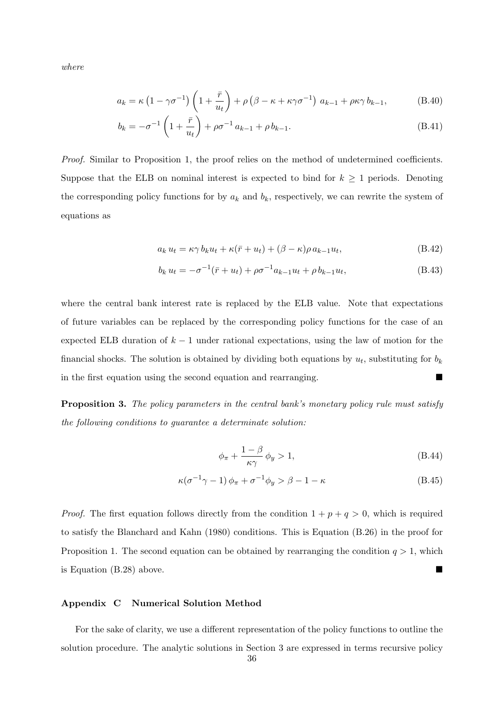where

$$
a_k = \kappa \left(1 - \gamma \sigma^{-1}\right) \left(1 + \frac{\bar{r}}{u_t}\right) + \rho \left(\beta - \kappa + \kappa \gamma \sigma^{-1}\right) a_{k-1} + \rho \kappa \gamma b_{k-1},\tag{B.40}
$$

$$
b_k = -\sigma^{-1} \left( 1 + \frac{\bar{r}}{u_t} \right) + \rho \sigma^{-1} a_{k-1} + \rho b_{k-1}.
$$
 (B.41)

Proof. Similar to Proposition [1,](#page-10-0) the proof relies on the method of undetermined coefficients. Suppose that the ELB on nominal interest is expected to bind for  $k \geq 1$  periods. Denoting the corresponding policy functions for by  $a_k$  and  $b_k$ , respectively, we can rewrite the system of equations as

$$
a_k u_t = \kappa \gamma b_k u_t + \kappa (\bar{r} + u_t) + (\beta - \kappa) \rho a_{k-1} u_t,
$$
\n(B.42)

$$
b_k u_t = -\sigma^{-1}(\bar{r} + u_t) + \rho \sigma^{-1} a_{k-1} u_t + \rho b_{k-1} u_t, \tag{B.43}
$$

where the central bank interest rate is replaced by the ELB value. Note that expectations of future variables can be replaced by the corresponding policy functions for the case of an expected ELB duration of  $k-1$  under rational expectations, using the law of motion for the financial shocks. The solution is obtained by dividing both equations by  $u_t$ , substituting for  $b_k$ in the first equation using the second equation and rearranging. ■

Proposition 3. The policy parameters in the central bank's monetary policy rule must satisfy the following conditions to guarantee a determinate solution:

<span id="page-36-2"></span><span id="page-36-1"></span>
$$
\phi_{\pi} + \frac{1 - \beta}{\kappa \gamma} \phi_y > 1, \tag{B.44}
$$

$$
\kappa(\sigma^{-1}\gamma - 1)\phi_{\pi} + \sigma^{-1}\phi_{y} > \beta - 1 - \kappa
$$
 (B.45)

*Proof.* The first equation follows directly from the condition  $1 + p + q > 0$ , which is required to satisfy the [Blanchard and Kahn](#page-25-20) [\(1980\)](#page-25-20) conditions. This is Equation [\(B.26\)](#page-34-0) in the proof for Proposition [1.](#page-10-0) The second equation can be obtained by rearranging the condition  $q > 1$ , which is Equation  $(B.28)$  above.

## <span id="page-36-0"></span>Appendix C Numerical Solution Method

For the sake of clarity, we use a different representation of the policy functions to outline the solution procedure. The analytic solutions in Section [3](#page-9-0) are expressed in terms recursive policy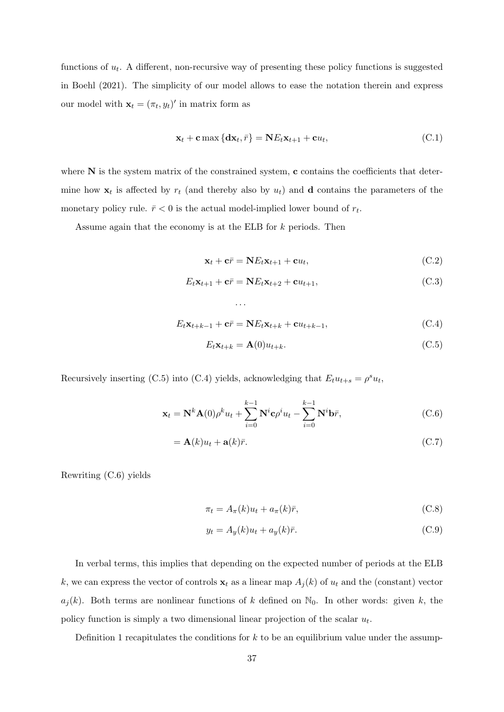functions of  $u_t$ . A different, non-recursive way of presenting these policy functions is suggested in [Boehl](#page-25-19) [\(2021\)](#page-25-19). The simplicity of our model allows to ease the notation therein and express our model with  $\mathbf{x}_t = (\pi_t, y_t)'$  in matrix form as

$$
\mathbf{x}_t + \mathbf{c} \max \left\{ \mathbf{d} \mathbf{x}_t, \bar{r} \right\} = \mathbf{N} E_t \mathbf{x}_{t+1} + \mathbf{c} u_t, \tag{C.1}
$$

where  $N$  is the system matrix of the constrained system, c contains the coefficients that determine how  $x_t$  is affected by  $r_t$  (and thereby also by  $u_t$ ) and **d** contains the parameters of the monetary policy rule.  $\bar{r} < 0$  is the actual model-implied lower bound of  $r_t$ .

Assume again that the economy is at the ELB for k periods. Then

$$
\mathbf{x}_t + \mathbf{c}\overline{r} = \mathbf{N}E_t\mathbf{x}_{t+1} + \mathbf{c}u_t, \tag{C.2}
$$

$$
E_t \mathbf{x}_{t+1} + \mathbf{c}\overline{r} = \mathbf{N} E_t \mathbf{x}_{t+2} + \mathbf{c} u_{t+1},
$$
\n(C.3)

$$
E_t \mathbf{x}_{t+k-1} + \mathbf{c}\overline{r} = \mathbf{N} E_t \mathbf{x}_{t+k} + \mathbf{c} u_{t+k-1},
$$
\n(C.4)

$$
E_t \mathbf{x}_{t+k} = \mathbf{A}(0) u_{t+k}.
$$
 (C.5)

Recursively inserting [\(C.5\)](#page-37-0) into [\(C.4\)](#page-37-1) yields, acknowledging that  $E_t u_{t+s} = \rho^s u_t$ ,

<span id="page-37-2"></span><span id="page-37-1"></span><span id="page-37-0"></span>. . .

$$
\mathbf{x}_t = \mathbf{N}^k \mathbf{A}(0) \rho^k u_t + \sum_{i=0}^{k-1} \mathbf{N}^i \mathbf{c} \rho^i u_t - \sum_{i=0}^{k-1} \mathbf{N}^i \mathbf{b} \bar{r},
$$
 (C.6)

$$
= \mathbf{A}(k)u_t + \mathbf{a}(k)\bar{r}.\tag{C.7}
$$

Rewriting [\(C.6\)](#page-37-2) yields

$$
\pi_t = A_\pi(k)u_t + a_\pi(k)\bar{r},\tag{C.8}
$$

$$
y_t = A_y(k)u_t + a_y(k)\bar{r}.
$$
 (C.9)

In verbal terms, this implies that depending on the expected number of periods at the ELB k, we can express the vector of controls  $x_t$  as a linear map  $A_j(k)$  of  $u_t$  and the (constant) vector  $a_j(k)$ . Both terms are nonlinear functions of k defined on  $\mathbb{N}_0$ . In other words: given k, the policy function is simply a two dimensional linear projection of the scalar  $u_t$ .

Definition [1](#page-38-0) recapitulates the conditions for  $k$  to be an equilibrium value under the assump-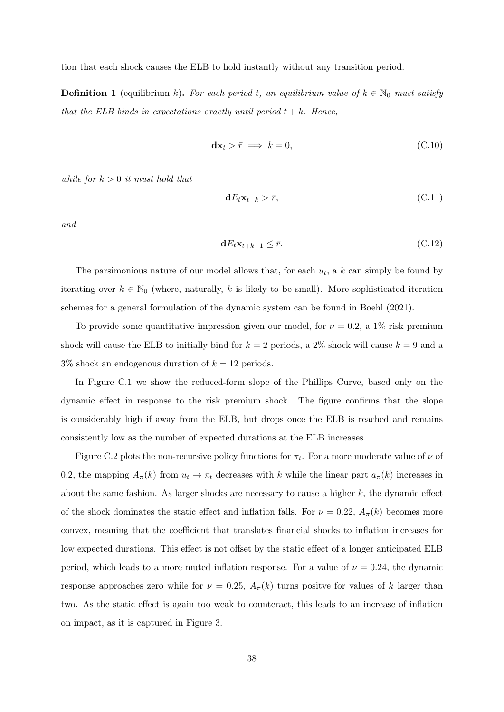tion that each shock causes the ELB to hold instantly without any transition period.

<span id="page-38-0"></span>**Definition 1** (equilibrium k). For each period t, an equilibrium value of  $k \in \mathbb{N}_0$  must satisfy that the ELB binds in expectations exactly until period  $t + k$ . Hence,

$$
\mathbf{dx}_t > \bar{r} \implies k = 0,\tag{C.10}
$$

while for  $k > 0$  it must hold that

$$
\mathbf{d}E_t \mathbf{x}_{t+k} > \bar{r},\tag{C.11}
$$

and

$$
\mathbf{d}E_t \mathbf{x}_{t+k-1} \leq \bar{r}.\tag{C.12}
$$

The parsimonious nature of our model allows that, for each  $u_t$ , a k can simply be found by iterating over  $k \in \mathbb{N}_0$  (where, naturally, k is likely to be small). More sophisticated iteration schemes for a general formulation of the dynamic system can be found in [Boehl](#page-25-19) [\(2021\)](#page-25-19).

To provide some quantitative impression given our model, for  $\nu = 0.2$ , a 1% risk premium shock will cause the ELB to initially bind for  $k = 2$  periods, a 2% shock will cause  $k = 9$  and a  $3\%$  shock an endogenous duration of  $k = 12$  periods.

In Figure [C.1](#page-39-0) we show the reduced-form slope of the Phillips Curve, based only on the dynamic effect in response to the risk premium shock. The figure confirms that the slope is considerably high if away from the ELB, but drops once the ELB is reached and remains consistently low as the number of expected durations at the ELB increases.

Figure [C.2](#page-39-1) plots the non-recursive policy functions for  $\pi_t$ . For a more moderate value of  $\nu$  of 0.2, the mapping  $A_\pi(k)$  from  $u_t \to \pi_t$  decreases with k while the linear part  $a_\pi(k)$  increases in about the same fashion. As larger shocks are necessary to cause a higher  $k$ , the dynamic effect of the shock dominates the static effect and inflation falls. For  $\nu = 0.22$ ,  $A_{\pi}(k)$  becomes more convex, meaning that the coefficient that translates financial shocks to inflation increases for low expected durations. This effect is not offset by the static effect of a longer anticipated ELB period, which leads to a more muted inflation response. For a value of  $\nu = 0.24$ , the dynamic response approaches zero while for  $\nu = 0.25$ ,  $A_{\pi}(k)$  turns positve for values of k larger than two. As the static effect is again too weak to counteract, this leads to an increase of inflation on impact, as it is captured in Figure [3.](#page-17-0)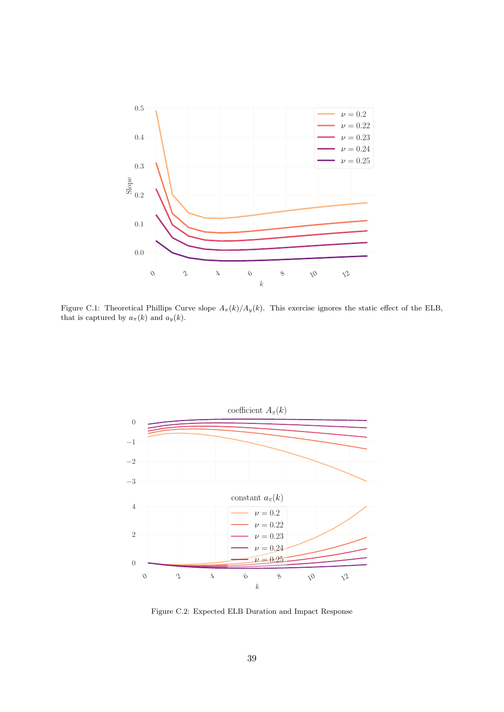<span id="page-39-0"></span>

Figure C.1: Theoretical Phillips Curve slope  $A_\pi(k)/A_y(k)$ . This exercise ignores the static effect of the ELB, that is captured by  $a_{\pi}(k)$  and  $a_{y}(k)$ .

<span id="page-39-1"></span>

Figure C.2: Expected ELB Duration and Impact Response